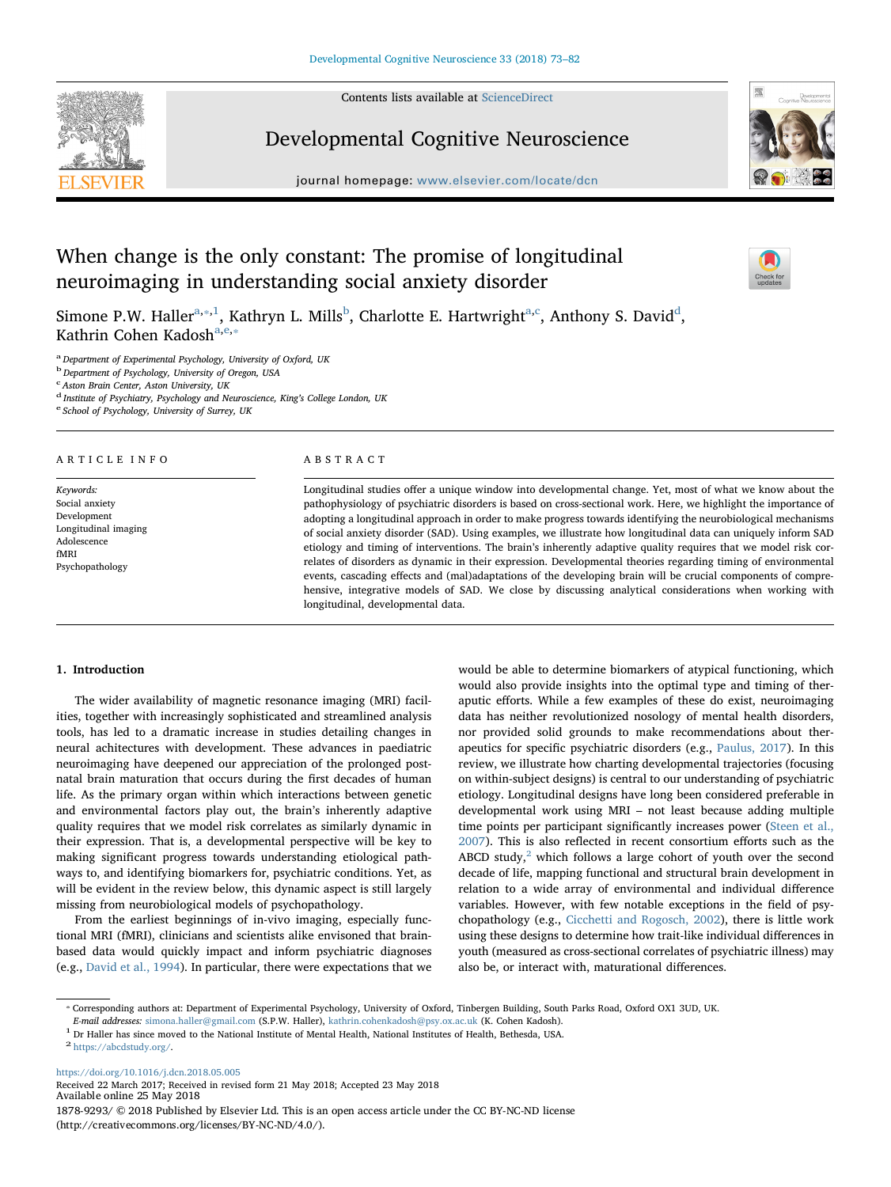Contents lists available at [ScienceDirect](http://www.sciencedirect.com/science/journal/18789293)



Developmental Cognitive Neuroscience

journal homepage: [www.elsevier.com/locate/dcn](https://www.elsevier.com/locate/dcn)



 $\sum_{\text{the}}$ 

# When change is the only constant: The promise of longitudinal neuroimaging in understanding social anxiety disorder

Simone P.W. H[a](#page-0-0)ller $\mathrm{^{a,\ast,1}}$  $\mathrm{^{a,\ast,1}}$  $\mathrm{^{a,\ast,1}}$  $\mathrm{^{a,\ast,1}}$  $\mathrm{^{a,\ast,1}}$ , Kathryn L. Mills $\mathrm{^{b}}$  $\mathrm{^{b}}$  $\mathrm{^{b}}$ , Charlotte E. Hartwright $\mathrm{^{a,c}}$  $\mathrm{^{a,c}}$  $\mathrm{^{a,c}}$ , Anthony S. Davi[d](#page-0-5) $\mathrm{^{d}}$ , K[a](#page-0-0)thrin Cohen Kadosh<sup>a,[e,](#page-0-6)\*</sup>

<span id="page-0-0"></span> $a$  Department of Experimental Psychology, University of Oxford, UK

<span id="page-0-3"></span><sup>b</sup> Department of Psychology, University of Oregon, USA

<span id="page-0-4"></span>c Aston Brain Center, Aston University, UK

<span id="page-0-6"></span><span id="page-0-5"></span> $^{\rm d}$  Institute of Psychology, University of Surrey, UK  $^{\rm e}$  School of Psychology, University of Surrey, UK

## ARTICLE INFO

Keywords: Social anxiety Development Longitudinal imaging Adolescence fMRI Psychopathology

# ABSTRACT

Longitudinal studies offer a unique window into developmental change. Yet, most of what we know about the pathophysiology of psychiatric disorders is based on cross-sectional work. Here, we highlight the importance of adopting a longitudinal approach in order to make progress towards identifying the neurobiological mechanisms of social anxiety disorder (SAD). Using examples, we illustrate how longitudinal data can uniquely inform SAD etiology and timing of interventions. The brain's inherently adaptive quality requires that we model risk correlates of disorders as dynamic in their expression. Developmental theories regarding timing of environmental events, cascading effects and (mal)adaptations of the developing brain will be crucial components of comprehensive, integrative models of SAD. We close by discussing analytical considerations when working with longitudinal, developmental data.

# 1. Introduction

The wider availability of magnetic resonance imaging (MRI) facilities, together with increasingly sophisticated and streamlined analysis tools, has led to a dramatic increase in studies detailing changes in neural achitectures with development. These advances in paediatric neuroimaging have deepened our appreciation of the prolonged postnatal brain maturation that occurs during the first decades of human life. As the primary organ within which interactions between genetic and environmental factors play out, the brain's inherently adaptive quality requires that we model risk correlates as similarly dynamic in their expression. That is, a developmental perspective will be key to making significant progress towards understanding etiological pathways to, and identifying biomarkers for, psychiatric conditions. Yet, as will be evident in the review below, this dynamic aspect is still largely missing from neurobiological models of psychopathology.

From the earliest beginnings of in-vivo imaging, especially functional MRI (fMRI), clinicians and scientists alike envisoned that brainbased data would quickly impact and inform psychiatric diagnoses (e.g., [David et al., 1994](#page-8-0)). In particular, there were expectations that we would be able to determine biomarkers of atypical functioning, which would also provide insights into the optimal type and timing of theraputic efforts. While a few examples of these do exist, neuroimaging data has neither revolutionized nosology of mental health disorders, nor provided solid grounds to make recommendations about therapeutics for specific psychiatric disorders (e.g., [Paulus, 2017](#page-8-1)). In this review, we illustrate how charting developmental trajectories (focusing on within-subject designs) is central to our understanding of psychiatric etiology. Longitudinal designs have long been considered preferable in developmental work using MRI – not least because adding multiple time points per participant significantly increases power [\(Steen et al.,](#page-9-0) [2007\)](#page-9-0). This is also reflected in recent consortium efforts such as the ABCD study, $2$  which follows a large cohort of youth over the second decade of life, mapping functional and structural brain development in relation to a wide array of environmental and individual difference variables. However, with few notable exceptions in the field of psychopathology (e.g., [Cicchetti and Rogosch, 2002\)](#page-7-0), there is little work using these designs to determine how trait-like individual differences in youth (measured as cross-sectional correlates of psychiatric illness) may also be, or interact with, maturational differences.

E-mail addresses: [simona.haller@gmail.com](mailto:simona.haller@gmail.com) (S.P.W. Haller), [kathrin.cohenkadosh@psy.ox.ac.uk](mailto:kathrin.cohenkadosh@psy.ox.ac.uk) (K. Cohen Kadosh).

<https://doi.org/10.1016/j.dcn.2018.05.005> Received 22 March 2017; Received in revised form 21 May 2018; Accepted 23 May 2018 Available online 25 May 2018 1878-9293/ © 2018 Published by Elsevier Ltd. This is an open access article under the CC BY-NC-ND license (http://creativecommons.org/licenses/BY-NC-ND/4.0/).

<span id="page-0-1"></span><sup>⁎</sup> Corresponding authors at: Department of Experimental Psychology, University of Oxford, Tinbergen Building, South Parks Road, Oxford OX1 3UD, UK.

<span id="page-0-2"></span> $^{\rm 1}$  Dr Haller has since moved to the National Institute of Mental Health, National Institutes of Health, Bethesda, USA.

<span id="page-0-7"></span> $^{\textbf{2}}$  <https://abcdstudy.org/>.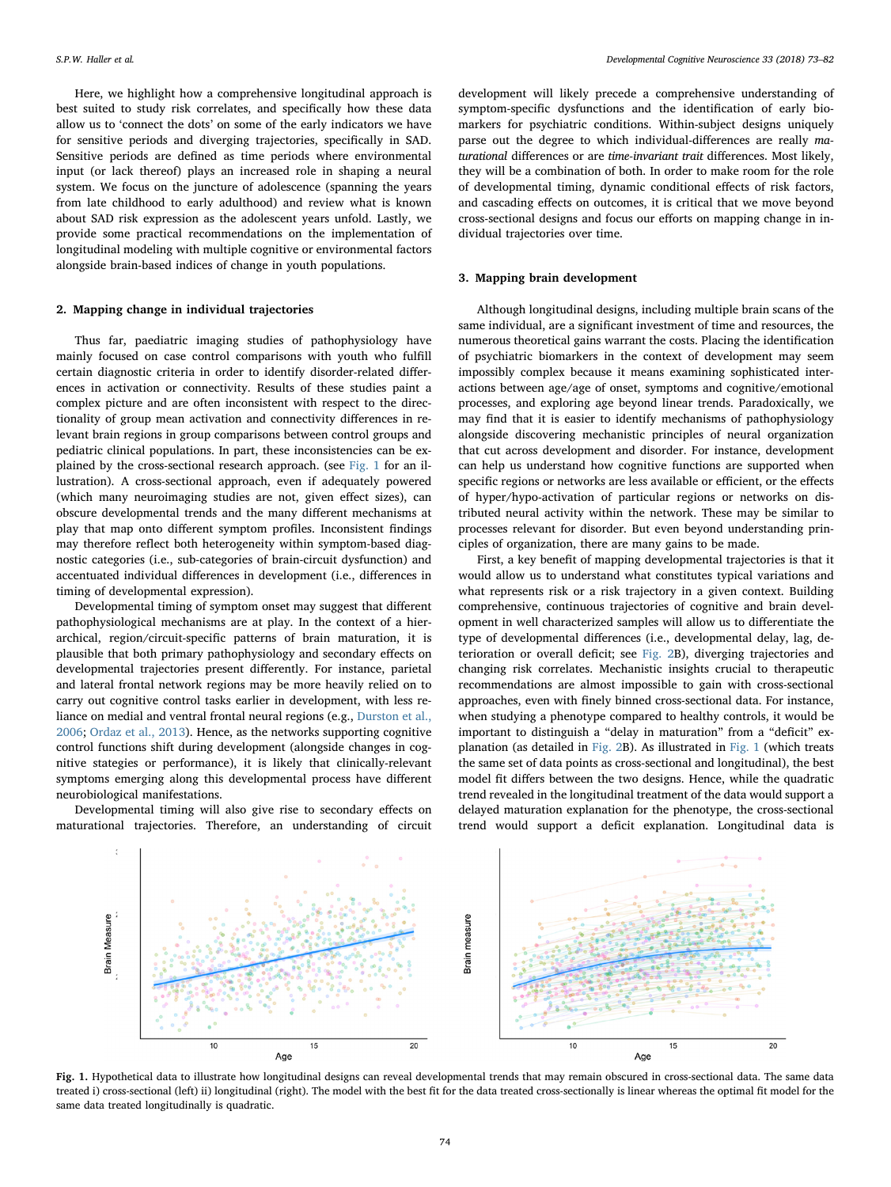Here, we highlight how a comprehensive longitudinal approach is best suited to study risk correlates, and specifically how these data allow us to 'connect the dots' on some of the early indicators we have for sensitive periods and diverging trajectories, specifically in SAD. Sensitive periods are defined as time periods where environmental input (or lack thereof) plays an increased role in shaping a neural system. We focus on the juncture of adolescence (spanning the years from late childhood to early adulthood) and review what is known about SAD risk expression as the adolescent years unfold. Lastly, we provide some practical recommendations on the implementation of longitudinal modeling with multiple cognitive or environmental factors alongside brain-based indices of change in youth populations.

## 2. Mapping change in individual trajectories

Thus far, paediatric imaging studies of pathophysiology have mainly focused on case control comparisons with youth who fulfill certain diagnostic criteria in order to identify disorder-related differences in activation or connectivity. Results of these studies paint a complex picture and are often inconsistent with respect to the directionality of group mean activation and connectivity differences in relevant brain regions in group comparisons between control groups and pediatric clinical populations. In part, these inconsistencies can be explained by the cross-sectional research approach. (see [Fig. 1](#page-1-0) for an illustration). A cross-sectional approach, even if adequately powered (which many neuroimaging studies are not, given effect sizes), can obscure developmental trends and the many different mechanisms at play that map onto different symptom profiles. Inconsistent findings may therefore reflect both heterogeneity within symptom-based diagnostic categories (i.e., sub-categories of brain-circuit dysfunction) and accentuated individual differences in development (i.e., differences in timing of developmental expression).

Developmental timing of symptom onset may suggest that different pathophysiological mechanisms are at play. In the context of a hierarchical, region/circuit-specific patterns of brain maturation, it is plausible that both primary pathophysiology and secondary effects on developmental trajectories present differently. For instance, parietal and lateral frontal network regions may be more heavily relied on to carry out cognitive control tasks earlier in development, with less reliance on medial and ventral frontal neural regions (e.g., [Durston et al.,](#page-8-2) [2006;](#page-8-2) [Ordaz et al., 2013\)](#page-8-3). Hence, as the networks supporting cognitive control functions shift during development (alongside changes in cognitive stategies or performance), it is likely that clinically-relevant symptoms emerging along this developmental process have different neurobiological manifestations.

Developmental timing will also give rise to secondary effects on maturational trajectories. Therefore, an understanding of circuit

development will likely precede a comprehensive understanding of symptom-specific dysfunctions and the identification of early biomarkers for psychiatric conditions. Within-subject designs uniquely parse out the degree to which individual-differences are really maturational differences or are time-invariant trait differences. Most likely, they will be a combination of both. In order to make room for the role of developmental timing, dynamic conditional effects of risk factors, and cascading effects on outcomes, it is critical that we move beyond cross-sectional designs and focus our efforts on mapping change in individual trajectories over time.

## 3. Mapping brain development

Although longitudinal designs, including multiple brain scans of the same individual, are a significant investment of time and resources, the numerous theoretical gains warrant the costs. Placing the identification of psychiatric biomarkers in the context of development may seem impossibly complex because it means examining sophisticated interactions between age/age of onset, symptoms and cognitive/emotional processes, and exploring age beyond linear trends. Paradoxically, we may find that it is easier to identify mechanisms of pathophysiology alongside discovering mechanistic principles of neural organization that cut across development and disorder. For instance, development can help us understand how cognitive functions are supported when specific regions or networks are less available or efficient, or the effects of hyper/hypo-activation of particular regions or networks on distributed neural activity within the network. These may be similar to processes relevant for disorder. But even beyond understanding principles of organization, there are many gains to be made.

First, a key benefit of mapping developmental trajectories is that it would allow us to understand what constitutes typical variations and what represents risk or a risk trajectory in a given context. Building comprehensive, continuous trajectories of cognitive and brain development in well characterized samples will allow us to differentiate the type of developmental differences (i.e., developmental delay, lag, deterioration or overall deficit; see [Fig. 2B](#page-2-0)), diverging trajectories and changing risk correlates. Mechanistic insights crucial to therapeutic recommendations are almost impossible to gain with cross-sectional approaches, even with finely binned cross-sectional data. For instance, when studying a phenotype compared to healthy controls, it would be important to distinguish a "delay in maturation" from a "deficit" explanation (as detailed in [Fig. 2](#page-2-0)B). As illustrated in [Fig. 1](#page-1-0) (which treats the same set of data points as cross-sectional and longitudinal), the best model fit differs between the two designs. Hence, while the quadratic trend revealed in the longitudinal treatment of the data would support a delayed maturation explanation for the phenotype, the cross-sectional trend would support a deficit explanation. Longitudinal data is

<span id="page-1-0"></span>

Fig. 1. Hypothetical data to illustrate how longitudinal designs can reveal developmental trends that may remain obscured in cross-sectional data. The same data treated i) cross-sectional (left) ii) longitudinal (right). The model with the best fit for the data treated cross-sectionally is linear whereas the optimal fit model for the same data treated longitudinally is quadratic.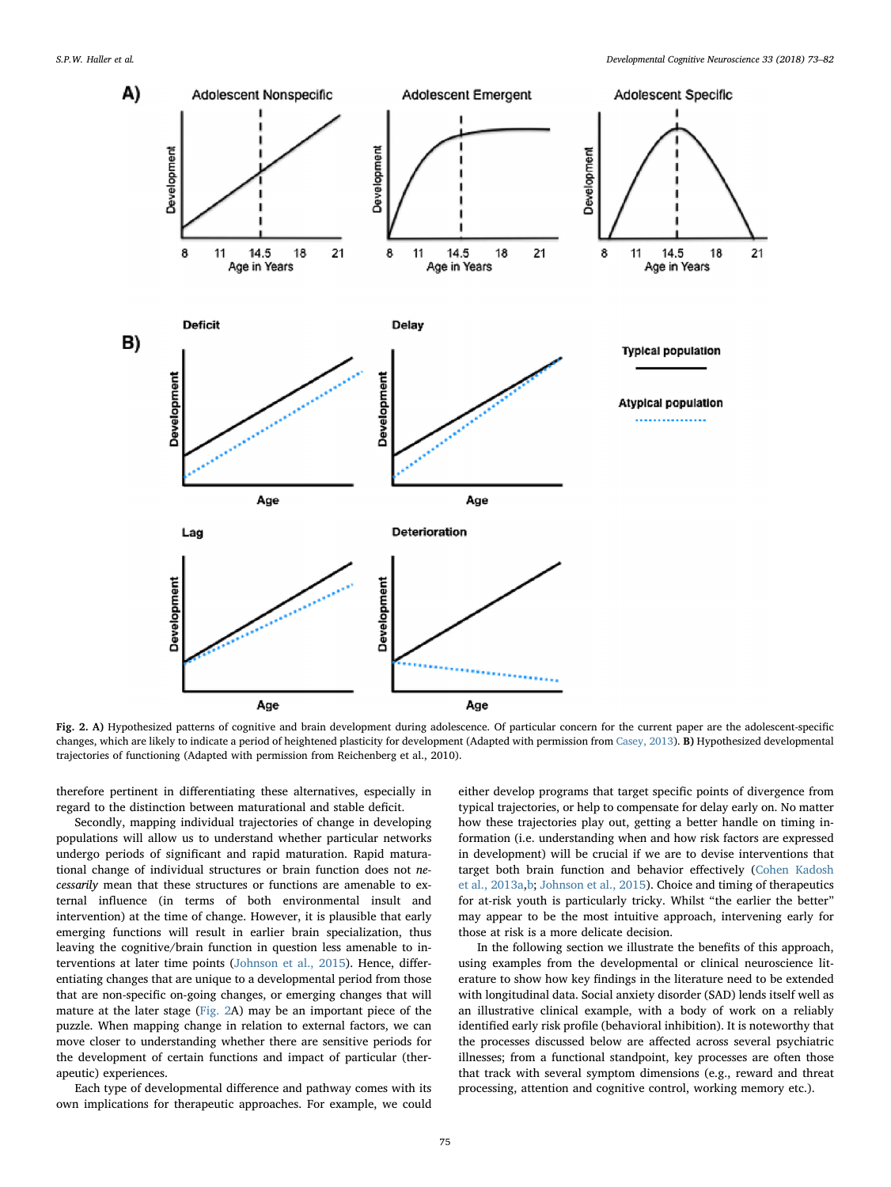<span id="page-2-0"></span>

Fig. 2. A) Hypothesized patterns of cognitive and brain development during adolescence. Of particular concern for the current paper are the adolescent-specific changes, which are likely to indicate a period of heightened plasticity for development (Adapted with permission from [Casey, 2013](#page-7-1)). B) Hypothesized developmental trajectories of functioning (Adapted with permission from Reichenberg et al., 2010).

therefore pertinent in differentiating these alternatives, especially in regard to the distinction between maturational and stable deficit.

Secondly, mapping individual trajectories of change in developing populations will allow us to understand whether particular networks undergo periods of significant and rapid maturation. Rapid maturational change of individual structures or brain function does not necessarily mean that these structures or functions are amenable to external influence (in terms of both environmental insult and intervention) at the time of change. However, it is plausible that early emerging functions will result in earlier brain specialization, thus leaving the cognitive/brain function in question less amenable to interventions at later time points ([Johnson et al., 2015](#page-8-4)). Hence, differentiating changes that are unique to a developmental period from those that are non-specific on-going changes, or emerging changes that will mature at the later stage ([Fig. 2](#page-2-0)A) may be an important piece of the puzzle. When mapping change in relation to external factors, we can move closer to understanding whether there are sensitive periods for the development of certain functions and impact of particular (therapeutic) experiences.

Each type of developmental difference and pathway comes with its own implications for therapeutic approaches. For example, we could

either develop programs that target specific points of divergence from typical trajectories, or help to compensate for delay early on. No matter how these trajectories play out, getting a better handle on timing information (i.e. understanding when and how risk factors are expressed in development) will be crucial if we are to devise interventions that target both brain function and behavior effectively [\(Cohen Kadosh](#page-8-5) [et al., 2013a](#page-8-5)[,b;](#page-8-6) [Johnson et al., 2015](#page-8-4)). Choice and timing of therapeutics for at-risk youth is particularly tricky. Whilst "the earlier the better" may appear to be the most intuitive approach, intervening early for those at risk is a more delicate decision.

In the following section we illustrate the benefits of this approach, using examples from the developmental or clinical neuroscience literature to show how key findings in the literature need to be extended with longitudinal data. Social anxiety disorder (SAD) lends itself well as an illustrative clinical example, with a body of work on a reliably identified early risk profile (behavioral inhibition). It is noteworthy that the processes discussed below are affected across several psychiatric illnesses; from a functional standpoint, key processes are often those that track with several symptom dimensions (e.g., reward and threat processing, attention and cognitive control, working memory etc.).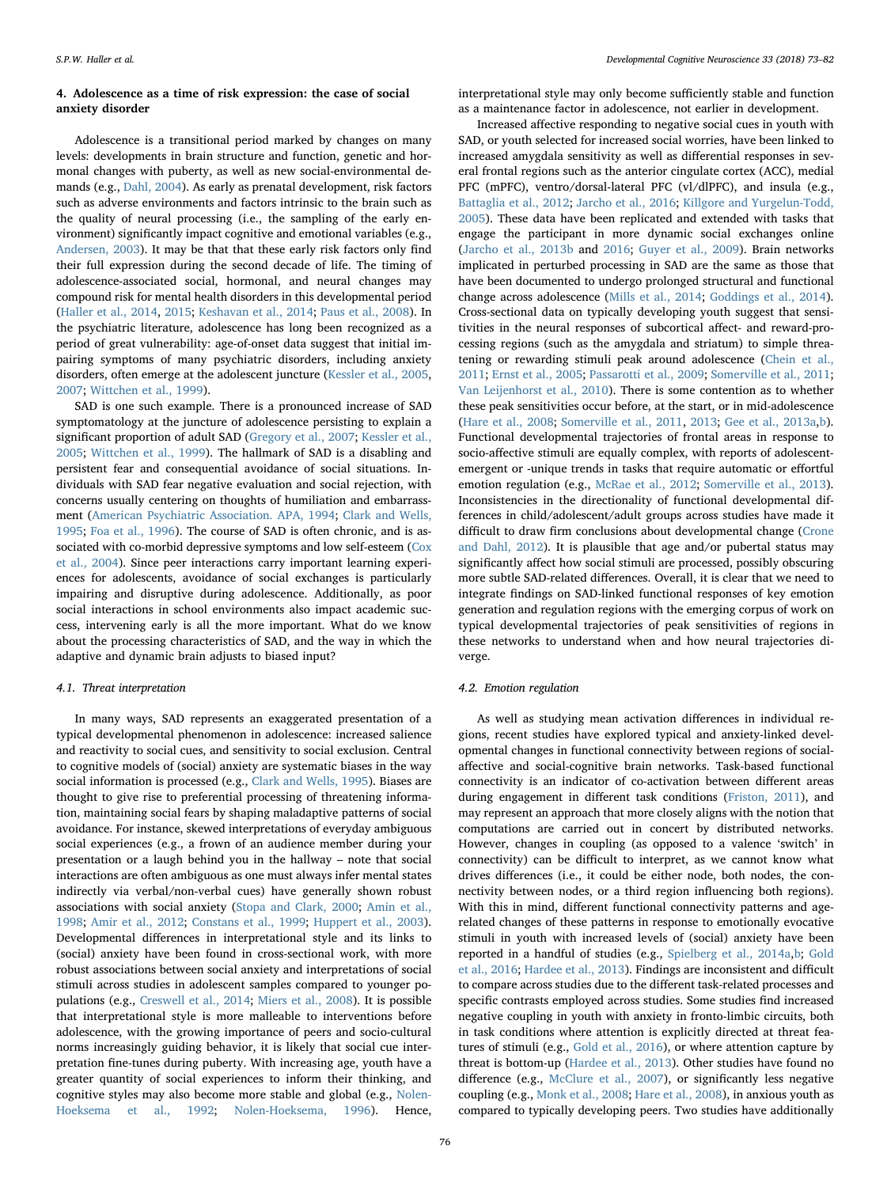# 4. Adolescence as a time of risk expression: the case of social anxiety disorder

Adolescence is a transitional period marked by changes on many levels: developments in brain structure and function, genetic and hormonal changes with puberty, as well as new social-environmental demands (e.g., [Dahl, 2004](#page-8-7)). As early as prenatal development, risk factors such as adverse environments and factors intrinsic to the brain such as the quality of neural processing (i.e., the sampling of the early environment) significantly impact cognitive and emotional variables (e.g., [Andersen, 2003\)](#page-7-2). It may be that that these early risk factors only find their full expression during the second decade of life. The timing of adolescence-associated social, hormonal, and neural changes may compound risk for mental health disorders in this developmental period ([Haller et al., 2014](#page-8-8), [2015](#page-8-9); [Keshavan et al., 2014;](#page-8-10) [Paus et al., 2008\)](#page-8-11). In the psychiatric literature, adolescence has long been recognized as a period of great vulnerability: age-of-onset data suggest that initial impairing symptoms of many psychiatric disorders, including anxiety disorders, often emerge at the adolescent juncture [\(Kessler et al., 2005](#page-8-12), [2007;](#page-8-13) [Wittchen et al., 1999\)](#page-9-1).

SAD is one such example. There is a pronounced increase of SAD symptomatology at the juncture of adolescence persisting to explain a significant proportion of adult SAD ([Gregory et al., 2007](#page-8-14); [Kessler et al.,](#page-8-12) [2005;](#page-8-12) [Wittchen et al., 1999](#page-9-1)). The hallmark of SAD is a disabling and persistent fear and consequential avoidance of social situations. Individuals with SAD fear negative evaluation and social rejection, with concerns usually centering on thoughts of humiliation and embarrassment ([American Psychiatric Association. APA, 1994](#page-7-3); [Clark and Wells,](#page-8-15) [1995;](#page-8-15) [Foa et al., 1996](#page-8-16)). The course of SAD is often chronic, and is associated with co-morbid depressive symptoms and low self-esteem [\(Cox](#page-8-17) [et al., 2004](#page-8-17)). Since peer interactions carry important learning experiences for adolescents, avoidance of social exchanges is particularly impairing and disruptive during adolescence. Additionally, as poor social interactions in school environments also impact academic success, intervening early is all the more important. What do we know about the processing characteristics of SAD, and the way in which the adaptive and dynamic brain adjusts to biased input?

# 4.1. Threat interpretation

In many ways, SAD represents an exaggerated presentation of a typical developmental phenomenon in adolescence: increased salience and reactivity to social cues, and sensitivity to social exclusion. Central to cognitive models of (social) anxiety are systematic biases in the way social information is processed (e.g., [Clark and Wells, 1995](#page-8-15)). Biases are thought to give rise to preferential processing of threatening information, maintaining social fears by shaping maladaptive patterns of social avoidance. For instance, skewed interpretations of everyday ambiguous social experiences (e.g., a frown of an audience member during your presentation or a laugh behind you in the hallway – note that social interactions are often ambiguous as one must always infer mental states indirectly via verbal/non-verbal cues) have generally shown robust associations with social anxiety ([Stopa and Clark, 2000;](#page-9-2) [Amin et al.,](#page-7-4) [1998;](#page-7-4) [Amir et al., 2012](#page-7-5); [Constans et al., 1999](#page-8-18); [Huppert et al., 2003](#page-8-19)). Developmental differences in interpretational style and its links to (social) anxiety have been found in cross-sectional work, with more robust associations between social anxiety and interpretations of social stimuli across studies in adolescent samples compared to younger populations (e.g., [Creswell et al., 2014](#page-8-20); [Miers et al., 2008\)](#page-8-21). It is possible that interpretational style is more malleable to interventions before adolescence, with the growing importance of peers and socio-cultural norms increasingly guiding behavior, it is likely that social cue interpretation fine-tunes during puberty. With increasing age, youth have a greater quantity of social experiences to inform their thinking, and cognitive styles may also become more stable and global (e.g., [Nolen-](#page-8-22)[Hoeksema et al., 1992](#page-8-22); [Nolen-Hoeksema, 1996\)](#page-8-23). Hence,

interpretational style may only become sufficiently stable and function as a maintenance factor in adolescence, not earlier in development.

Increased affective responding to negative social cues in youth with SAD, or youth selected for increased social worries, have been linked to increased amygdala sensitivity as well as differential responses in several frontal regions such as the anterior cingulate cortex (ACC), medial PFC (mPFC), ventro/dorsal-lateral PFC (vl/dlPFC), and insula (e.g., [Battaglia et al., 2012;](#page-7-6) [Jarcho et al., 2016](#page-8-24); [Killgore and Yurgelun-Todd,](#page-8-25) [2005\)](#page-8-25). These data have been replicated and extended with tasks that engage the participant in more dynamic social exchanges online ([Jarcho et al., 2013b](#page-8-26) and [2016](#page-8-24); [Guyer et al., 2009](#page-8-27)). Brain networks implicated in perturbed processing in SAD are the same as those that have been documented to undergo prolonged structural and functional change across adolescence [\(Mills et al., 2014](#page-8-28); [Goddings et al., 2014](#page-8-29)). Cross-sectional data on typically developing youth suggest that sensitivities in the neural responses of subcortical affect- and reward-processing regions (such as the amygdala and striatum) to simple threatening or rewarding stimuli peak around adolescence ([Chein et al.,](#page-7-7) [2011;](#page-7-7) [Ernst et al., 2005;](#page-8-30) [Passarotti et al., 2009;](#page-8-31) [Somerville et al., 2011](#page-9-3); [Van Leijenhorst et al., 2010\)](#page-9-4). There is some contention as to whether these peak sensitivities occur before, at the start, or in mid-adolescence ([Hare et al., 2008](#page-8-32); [Somerville et al., 2011,](#page-9-3) [2013;](#page-9-5) [Gee et al., 2013a,](#page-8-33)[b](#page-8-34)). Functional developmental trajectories of frontal areas in response to socio-affective stimuli are equally complex, with reports of adolescentemergent or -unique trends in tasks that require automatic or effortful emotion regulation (e.g., [McRae et al., 2012;](#page-8-35) [Somerville et al., 2013](#page-9-5)). Inconsistencies in the directionality of functional developmental differences in child/adolescent/adult groups across studies have made it difficult to draw firm conclusions about developmental change ([Crone](#page-8-36) [and Dahl, 2012](#page-8-36)). It is plausible that age and/or pubertal status may significantly affect how social stimuli are processed, possibly obscuring more subtle SAD-related differences. Overall, it is clear that we need to integrate findings on SAD-linked functional responses of key emotion generation and regulation regions with the emerging corpus of work on typical developmental trajectories of peak sensitivities of regions in these networks to understand when and how neural trajectories diverge.

## 4.2. Emotion regulation

As well as studying mean activation differences in individual regions, recent studies have explored typical and anxiety-linked developmental changes in functional connectivity between regions of socialaffective and social-cognitive brain networks. Task-based functional connectivity is an indicator of co-activation between different areas during engagement in different task conditions ([Friston, 2011](#page-8-37)), and may represent an approach that more closely aligns with the notion that computations are carried out in concert by distributed networks. However, changes in coupling (as opposed to a valence 'switch' in connectivity) can be difficult to interpret, as we cannot know what drives differences (i.e., it could be either node, both nodes, the connectivity between nodes, or a third region influencing both regions). With this in mind, different functional connectivity patterns and agerelated changes of these patterns in response to emotionally evocative stimuli in youth with increased levels of (social) anxiety have been reported in a handful of studies (e.g., [Spielberg et al., 2014a,](#page-9-6)[b](#page-9-7); [Gold](#page-8-38) [et al., 2016](#page-8-38); [Hardee et al., 2013\)](#page-8-39). Findings are inconsistent and difficult to compare across studies due to the different task-related processes and specific contrasts employed across studies. Some studies find increased negative coupling in youth with anxiety in fronto-limbic circuits, both in task conditions where attention is explicitly directed at threat features of stimuli (e.g., [Gold et al., 2016](#page-8-38)), or where attention capture by threat is bottom-up ([Hardee et al., 2013](#page-8-39)). Other studies have found no difference (e.g., [McClure et al., 2007\)](#page-8-40), or significantly less negative coupling (e.g., [Monk et al., 2008](#page-8-41); [Hare et al., 2008\)](#page-8-32), in anxious youth as compared to typically developing peers. Two studies have additionally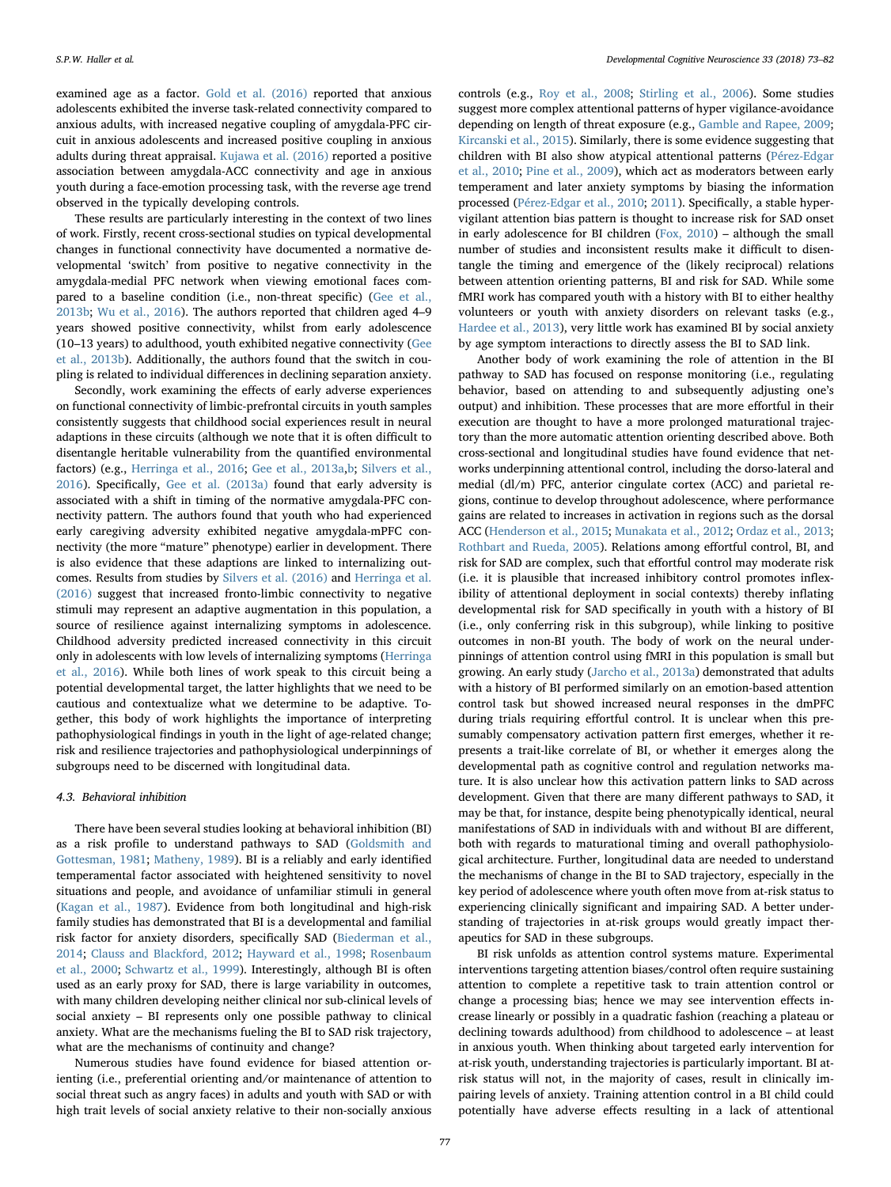examined age as a factor. [Gold et al. \(2016\)](#page-8-38) reported that anxious adolescents exhibited the inverse task-related connectivity compared to anxious adults, with increased negative coupling of amygdala-PFC circuit in anxious adolescents and increased positive coupling in anxious adults during threat appraisal. [Kujawa et al. \(2016\)](#page-8-42) reported a positive association between amygdala-ACC connectivity and age in anxious youth during a face-emotion processing task, with the reverse age trend observed in the typically developing controls.

These results are particularly interesting in the context of two lines of work. Firstly, recent cross-sectional studies on typical developmental changes in functional connectivity have documented a normative developmental 'switch' from positive to negative connectivity in the amygdala-medial PFC network when viewing emotional faces compared to a baseline condition (i.e., non-threat specific) ([Gee et al.,](#page-8-34) [2013b;](#page-8-34) [Wu et al., 2016\)](#page-9-8). The authors reported that children aged 4–9 years showed positive connectivity, whilst from early adolescence (10–13 years) to adulthood, youth exhibited negative connectivity [\(Gee](#page-8-34) [et al., 2013b](#page-8-34)). Additionally, the authors found that the switch in coupling is related to individual differences in declining separation anxiety.

Secondly, work examining the effects of early adverse experiences on functional connectivity of limbic-prefrontal circuits in youth samples consistently suggests that childhood social experiences result in neural adaptions in these circuits (although we note that it is often difficult to disentangle heritable vulnerability from the quantified environmental factors) (e.g., [Herringa et al., 2016](#page-8-43); [Gee et al., 2013a](#page-8-33)[,b;](#page-8-34) [Silvers et al.,](#page-9-9) [2016\)](#page-9-9). Specifically, [Gee et al. \(2013a\)](#page-8-33) found that early adversity is associated with a shift in timing of the normative amygdala-PFC connectivity pattern. The authors found that youth who had experienced early caregiving adversity exhibited negative amygdala-mPFC connectivity (the more "mature" phenotype) earlier in development. There is also evidence that these adaptions are linked to internalizing outcomes. Results from studies by [Silvers et al. \(2016\)](#page-9-9) and [Herringa et al.](#page-8-43) [\(2016\)](#page-8-43) suggest that increased fronto-limbic connectivity to negative stimuli may represent an adaptive augmentation in this population, a source of resilience against internalizing symptoms in adolescence. Childhood adversity predicted increased connectivity in this circuit only in adolescents with low levels of internalizing symptoms [\(Herringa](#page-8-43) [et al., 2016](#page-8-43)). While both lines of work speak to this circuit being a potential developmental target, the latter highlights that we need to be cautious and contextualize what we determine to be adaptive. Together, this body of work highlights the importance of interpreting pathophysiological findings in youth in the light of age-related change; risk and resilience trajectories and pathophysiological underpinnings of subgroups need to be discerned with longitudinal data.

## 4.3. Behavioral inhibition

There have been several studies looking at behavioral inhibition (BI) as a risk profile to understand pathways to SAD [\(Goldsmith and](#page-8-44) [Gottesman,](#page-8-44) 1981; [Matheny, 1989\)](#page-8-45). BI is a reliably and early identified temperamental factor associated with heightened sensitivity to novel situations and people, and avoidance of unfamiliar stimuli in general ([Kagan et al., 1987](#page-8-46)). Evidence from both longitudinal and high-risk family studies has demonstrated that BI is a developmental and familial risk factor for anxiety disorders, specifically SAD ([Biederman et al.,](#page-7-8) [2014;](#page-7-8) [Clauss and Blackford, 2012;](#page-8-47) [Hayward et al., 1998](#page-8-48); [Rosenbaum](#page-9-10) [et al., 2000;](#page-9-10) [Schwartz et al., 1999](#page-9-11)). Interestingly, although BI is often used as an early proxy for SAD, there is large variability in outcomes, with many children developing neither clinical nor sub-clinical levels of social anxiety – BI represents only one possible pathway to clinical anxiety. What are the mechanisms fueling the BI to SAD risk trajectory, what are the mechanisms of continuity and change?

Numerous studies have found evidence for biased attention orienting (i.e., preferential orienting and/or maintenance of attention to social threat such as angry faces) in adults and youth with SAD or with high trait levels of social anxiety relative to their non-socially anxious

controls (e.g., [Roy et al., 2008;](#page-9-12) [Stirling et al., 2006\)](#page-9-13). Some studies suggest more complex attentional patterns of hyper vigilance-avoidance depending on length of threat exposure (e.g., [Gamble and Rapee, 2009](#page-8-49); [Kircanski et al., 2015\)](#page-8-50). Similarly, there is some evidence suggesting that children with BI also show atypical attentional patterns [\(Pérez-Edgar](#page-8-51) [et al., 2010](#page-8-51); [Pine et al., 2009\)](#page-8-52), which act as moderators between early temperament and later anxiety symptoms by biasing the information processed [\(Pérez-Edgar et al., 2010;](#page-8-51) [2011](#page-8-53)). Specifically, a stable hypervigilant attention bias pattern is thought to increase risk for SAD onset in early adolescence for BI children [\(Fox, 2010](#page-8-54)) – although the small number of studies and inconsistent results make it difficult to disentangle the timing and emergence of the (likely reciprocal) relations between attention orienting patterns, BI and risk for SAD. While some fMRI work has compared youth with a history with BI to either healthy volunteers or youth with anxiety disorders on relevant tasks (e.g., [Hardee et al., 2013](#page-8-39)), very little work has examined BI by social anxiety by age symptom interactions to directly assess the BI to SAD link.

Another body of work examining the role of attention in the BI pathway to SAD has focused on response monitoring (i.e., regulating behavior, based on attending to and subsequently adjusting one's output) and inhibition. These processes that are more effortful in their execution are thought to have a more prolonged maturational trajectory than the more automatic attention orienting described above. Both cross-sectional and longitudinal studies have found evidence that networks underpinning attentional control, including the dorso-lateral and medial (dl/m) PFC, anterior cingulate cortex (ACC) and parietal regions, continue to develop throughout adolescence, where performance gains are related to increases in activation in regions such as the dorsal ACC [\(Henderson et al., 2015;](#page-8-55) [Munakata et al., 2012](#page-8-56); [Ordaz et al., 2013](#page-8-3); Rothbart [and Rueda, 2005](#page-9-14)). Relations among effortful control, BI, and risk for SAD are complex, such that effortful control may moderate risk (i.e. it is plausible that increased inhibitory control promotes inflexibility of attentional deployment in social contexts) thereby inflating developmental risk for SAD specifically in youth with a history of BI (i.e., only conferring risk in this subgroup), while linking to positive outcomes in non-BI youth. The body of work on the neural underpinnings of attention control using fMRI in this population is small but growing. An early study ([Jarcho et al., 2013a\)](#page-8-57) demonstrated that adults with a history of BI performed similarly on an emotion-based attention control task but showed increased neural responses in the dmPFC during trials requiring effortful control. It is unclear when this presumably compensatory activation pattern first emerges, whether it represents a trait-like correlate of BI, or whether it emerges along the developmental path as cognitive control and regulation networks mature. It is also unclear how this activation pattern links to SAD across development. Given that there are many different pathways to SAD, it may be that, for instance, despite being phenotypically identical, neural manifestations of SAD in individuals with and without BI are different, both with regards to maturational timing and overall pathophysiological architecture. Further, longitudinal data are needed to understand the mechanisms of change in the BI to SAD trajectory, especially in the key period of adolescence where youth often move from at-risk status to experiencing clinically significant and impairing SAD. A better understanding of trajectories in at-risk groups would greatly impact therapeutics for SAD in these subgroups.

BI risk unfolds as attention control systems mature. Experimental interventions targeting attention biases/control often require sustaining attention to complete a repetitive task to train attention control or change a processing bias; hence we may see intervention effects increase linearly or possibly in a quadratic fashion (reaching a plateau or declining towards adulthood) from childhood to adolescence – at least in anxious youth. When thinking about targeted early intervention for at-risk youth, understanding trajectories is particularly important. BI atrisk status will not, in the majority of cases, result in clinically impairing levels of anxiety. Training attention control in a BI child could potentially have adverse effects resulting in a lack of attentional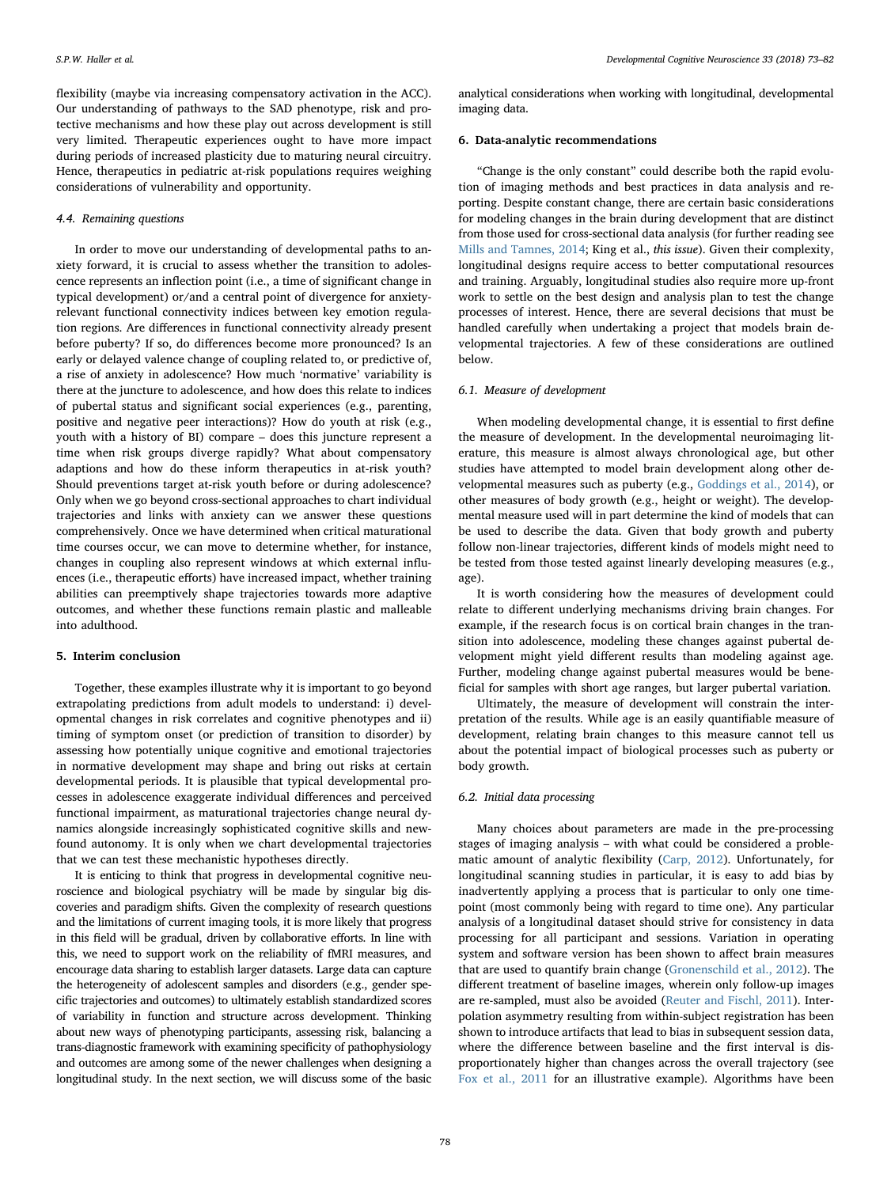S.P.W. Haller et al. *Developmental Cognitive Neuroscience 33 (2018) 73–82*

flexibility (maybe via increasing compensatory activation in the ACC). Our understanding of pathways to the SAD phenotype, risk and protective mechanisms and how these play out across development is still very limited. Therapeutic experiences ought to have more impact during periods of increased plasticity due to maturing neural circuitry. Hence, therapeutics in pediatric at-risk populations requires weighing considerations of vulnerability and opportunity.

# 4.4. Remaining questions

In order to move our understanding of developmental paths to anxiety forward, it is crucial to assess whether the transition to adolescence represents an inflection point (i.e., a time of significant change in typical development) or/and a central point of divergence for anxietyrelevant functional connectivity indices between key emotion regulation regions. Are differences in functional connectivity already present before puberty? If so, do differences become more pronounced? Is an early or delayed valence change of coupling related to, or predictive of, a rise of anxiety in adolescence? How much 'normative' variability is there at the juncture to adolescence, and how does this relate to indices of pubertal status and significant social experiences (e.g., parenting, positive and negative peer interactions)? How do youth at risk (e.g., youth with a history of BI) compare – does this juncture represent a time when risk groups diverge rapidly? What about compensatory adaptions and how do these inform therapeutics in at-risk youth? Should preventions target at-risk youth before or during adolescence? Only when we go beyond cross-sectional approaches to chart individual trajectories and links with anxiety can we answer these questions comprehensively. Once we have determined when critical maturational time courses occur, we can move to determine whether, for instance, changes in coupling also represent windows at which external influences (i.e., therapeutic efforts) have increased impact, whether training abilities can preemptively shape trajectories towards more adaptive outcomes, and whether these functions remain plastic and malleable into adulthood.

## 5. Interim conclusion

Together, these examples illustrate why it is important to go beyond extrapolating predictions from adult models to understand: i) developmental changes in risk correlates and cognitive phenotypes and ii) timing of symptom onset (or prediction of transition to disorder) by assessing how potentially unique cognitive and emotional trajectories in normative development may shape and bring out risks at certain developmental periods. It is plausible that typical developmental processes in adolescence exaggerate individual differences and perceived functional impairment, as maturational trajectories change neural dynamics alongside increasingly sophisticated cognitive skills and newfound autonomy. It is only when we chart developmental trajectories that we can test these mechanistic hypotheses directly.

It is enticing to think that progress in developmental cognitive neuroscience and biological psychiatry will be made by singular big discoveries and paradigm shifts. Given the complexity of research questions and the limitations of current imaging tools, it is more likely that progress in this field will be gradual, driven by collaborative efforts. In line with this, we need to support work on the reliability of fMRI measures, and encourage data sharing to establish larger datasets. Large data can capture the heterogeneity of adolescent samples and disorders (e.g., gender specific trajectories and outcomes) to ultimately establish standardized scores of variability in function and structure across development. Thinking about new ways of phenotyping participants, assessing risk, balancing a trans-diagnostic framework with examining specificity of pathophysiology and outcomes are among some of the newer challenges when designing a longitudinal study. In the next section, we will discuss some of the basic

analytical considerations when working with longitudinal, developmental imaging data.

## 6. Data-analytic recommendations

"Change is the only constant" could describe both the rapid evolution of imaging methods and best practices in data analysis and reporting. Despite constant change, there are certain basic considerations for modeling changes in the brain during development that are distinct from those used for cross-sectional data analysis (for further reading see Mills [and Tamnes, 2014;](#page-8-58) King et al., this issue). Given their complexity, longitudinal designs require access to better computational resources and training. Arguably, longitudinal studies also require more up-front work to settle on the best design and analysis plan to test the change processes of interest. Hence, there are several decisions that must be handled carefully when undertaking a project that models brain developmental trajectories. A few of these considerations are outlined below.

#### 6.1. Measure of development

When modeling developmental change, it is essential to first define the measure of development. In the developmental neuroimaging literature, this measure is almost always chronological age, but other studies have attempted to model brain development along other developmental measures such as puberty (e.g., [Goddings et al., 2014](#page-8-29)), or other measures of body growth (e.g., height or weight). The developmental measure used will in part determine the kind of models that can be used to describe the data. Given that body growth and puberty follow non-linear trajectories, different kinds of models might need to be tested from those tested against linearly developing measures (e.g., age).

It is worth considering how the measures of development could relate to different underlying mechanisms driving brain changes. For example, if the research focus is on cortical brain changes in the transition into adolescence, modeling these changes against pubertal development might yield different results than modeling against age. Further, modeling change against pubertal measures would be beneficial for samples with short age ranges, but larger pubertal variation.

Ultimately, the measure of development will constrain the interpretation of the results. While age is an easily quantifiable measure of development, relating brain changes to this measure cannot tell us about the potential impact of biological processes such as puberty or body growth.

## 6.2. Initial data processing

Many choices about parameters are made in the pre-processing stages of imaging analysis – with what could be considered a problematic amount of analytic flexibility [\(Carp, 2012\)](#page-7-9). Unfortunately, for longitudinal scanning studies in particular, it is easy to add bias by inadvertently applying a process that is particular to only one timepoint (most commonly being with regard to time one). Any particular analysis of a longitudinal dataset should strive for consistency in data processing for all participant and sessions. Variation in operating system and software version has been shown to affect brain measures that are used to quantify brain change [\(Gronenschild et al., 2012\)](#page-8-59). The different treatment of baseline images, wherein only follow-up images are re-sampled, must also be avoided [\(Reuter and Fischl, 2011](#page-9-15)). Interpolation asymmetry resulting from within-subject registration has been shown to introduce artifacts that lead to bias in subsequent session data, where the difference between baseline and the first interval is disproportionately higher than changes across the overall trajectory (see [Fox et al., 2011](#page-8-60) for an illustrative example). Algorithms have been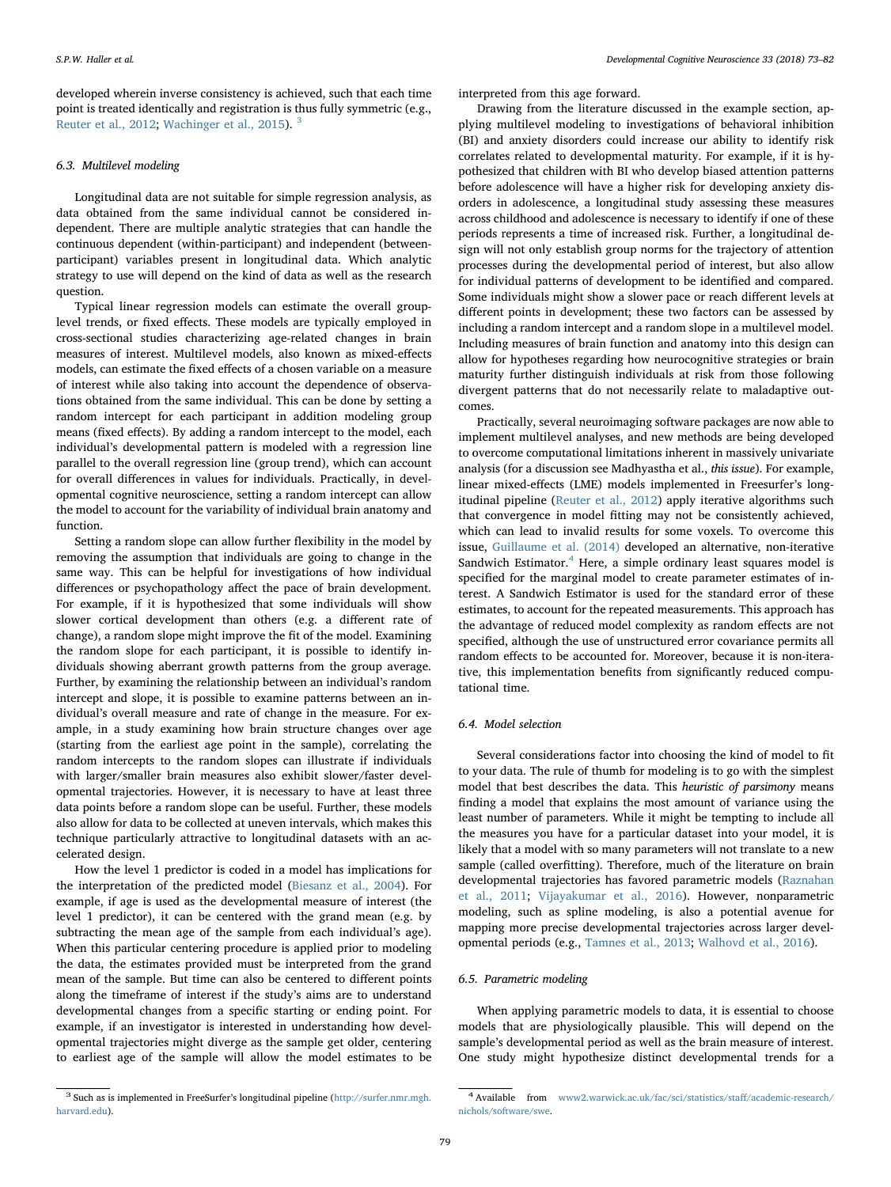developed wherein inverse consistency is achieved, such that each time point is treated identically and registration is thus fully symmetric (e.g., [Reuter et al., 2012](#page-9-16); [Wachinger et al., 2015\)](#page-9-17). [3](#page-6-0)

# 6.3. Multilevel modeling

Longitudinal data are not suitable for simple regression analysis, as data obtained from the same individual cannot be considered independent. There are multiple analytic strategies that can handle the continuous dependent (within-participant) and independent (betweenparticipant) variables present in longitudinal data. Which analytic strategy to use will depend on the kind of data as well as the research question.

Typical linear regression models can estimate the overall grouplevel trends, or fixed effects. These models are typically employed in cross-sectional studies characterizing age-related changes in brain measures of interest. Multilevel models, also known as mixed-effects models, can estimate the fixed effects of a chosen variable on a measure of interest while also taking into account the dependence of observations obtained from the same individual. This can be done by setting a random intercept for each participant in addition modeling group means (fixed effects). By adding a random intercept to the model, each individual's developmental pattern is modeled with a regression line parallel to the overall regression line (group trend), which can account for overall differences in values for individuals. Practically, in developmental cognitive neuroscience, setting a random intercept can allow the model to account for the variability of individual brain anatomy and function.

Setting a random slope can allow further flexibility in the model by removing the assumption that individuals are going to change in the same way. This can be helpful for investigations of how individual differences or psychopathology affect the pace of brain development. For example, if it is hypothesized that some individuals will show slower cortical development than others (e.g. a different rate of change), a random slope might improve the fit of the model. Examining the random slope for each participant, it is possible to identify individuals showing aberrant growth patterns from the group average. Further, by examining the relationship between an individual's random intercept and slope, it is possible to examine patterns between an individual's overall measure and rate of change in the measure. For example, in a study examining how brain structure changes over age (starting from the earliest age point in the sample), correlating the random intercepts to the random slopes can illustrate if individuals with larger/smaller brain measures also exhibit slower/faster developmental trajectories. However, it is necessary to have at least three data points before a random slope can be useful. Further, these models also allow for data to be collected at uneven intervals, which makes this technique particularly attractive to longitudinal datasets with an accelerated design.

How the level 1 predictor is coded in a model has implications for the interpretation of the predicted model [\(Biesanz et al., 2004](#page-7-10)). For example, if age is used as the developmental measure of interest (the level 1 predictor), it can be centered with the grand mean (e.g. by subtracting the mean age of the sample from each individual's age). When this particular centering procedure is applied prior to modeling the data, the estimates provided must be interpreted from the grand mean of the sample. But time can also be centered to different points along the timeframe of interest if the study's aims are to understand developmental changes from a specific starting or ending point. For example, if an investigator is interested in understanding how developmental trajectories might diverge as the sample get older, centering to earliest age of the sample will allow the model estimates to be interpreted from this age forward.

Drawing from the literature discussed in the example section, applying multilevel modeling to investigations of behavioral inhibition (BI) and anxiety disorders could increase our ability to identify risk correlates related to developmental maturity. For example, if it is hypothesized that children with BI who develop biased attention patterns before adolescence will have a higher risk for developing anxiety disorders in adolescence, a longitudinal study assessing these measures across childhood and adolescence is necessary to identify if one of these periods represents a time of increased risk. Further, a longitudinal design will not only establish group norms for the trajectory of attention processes during the developmental period of interest, but also allow for individual patterns of development to be identified and compared. Some individuals might show a slower pace or reach different levels at different points in development; these two factors can be assessed by including a random intercept and a random slope in a multilevel model. Including measures of brain function and anatomy into this design can allow for hypotheses regarding how neurocognitive strategies or brain maturity further distinguish individuals at risk from those following divergent patterns that do not necessarily relate to maladaptive outcomes.

Practically, several neuroimaging software packages are now able to implement multilevel analyses, and new methods are being developed to overcome computational limitations inherent in massively univariate analysis (for a discussion see Madhyastha et al., this issue). For example, linear mixed-effects (LME) models implemented in Freesurfer's longitudinal pipeline ([Reuter et al., 2012\)](#page-9-16) apply iterative algorithms such that convergence in model fitting may not be consistently achieved, which can lead to invalid results for some voxels. To overcome this issue, [Guillaume et al. \(2014\)](#page-8-61) developed an alternative, non-iterative Sandwich Estimator. $4$  Here, a simple ordinary least squares model is specified for the marginal model to create parameter estimates of interest. A Sandwich Estimator is used for the standard error of these estimates, to account for the repeated measurements. This approach has the advantage of reduced model complexity as random effects are not specified, although the use of unstructured error covariance permits all random effects to be accounted for. Moreover, because it is non-iterative, this implementation benefits from significantly reduced computational time.

# 6.4. Model selection

Several considerations factor into choosing the kind of model to fit to your data. The rule of thumb for modeling is to go with the simplest model that best describes the data. This heuristic of parsimony means finding a model that explains the most amount of variance using the least number of parameters. While it might be tempting to include all the measures you have for a particular dataset into your model, it is likely that a model with so many parameters will not translate to a new sample (called overfitting). Therefore, much of the literature on brain developmental trajectories has favored parametric models [\(Raznahan](#page-9-18) [et al., 2011;](#page-9-18) [Vijayakumar et al., 2016](#page-9-19)). However, nonparametric modeling, such as spline modeling, is also a potential avenue for mapping more precise developmental trajectories across larger developmental periods (e.g., [Tamnes et al., 2013;](#page-9-20) [Walhovd et al., 2016\)](#page-9-21).

#### 6.5. Parametric modeling

When applying parametric models to data, it is essential to choose models that are physiologically plausible. This will depend on the sample's developmental period as well as the brain measure of interest. One study might hypothesize distinct developmental trends for a

<span id="page-6-0"></span> $^3$  Such as is implemented in FreeSurfer's longitudinal pipeline [\(http://surfer.nmr.mgh.](http://surfer.nmr.mgh.harvard.edu) [harvard.edu\)](http://surfer.nmr.mgh.harvard.edu).

<span id="page-6-1"></span><sup>4</sup> Available from [www2.warwick.ac.uk/fac/sci/statistics/sta](http://www2.warwick.ac.uk/fac/sci/statistics/staff/academic-research/nichols/software/swe)ff/academic-research/ [nichols/software/swe.](http://www2.warwick.ac.uk/fac/sci/statistics/staff/academic-research/nichols/software/swe)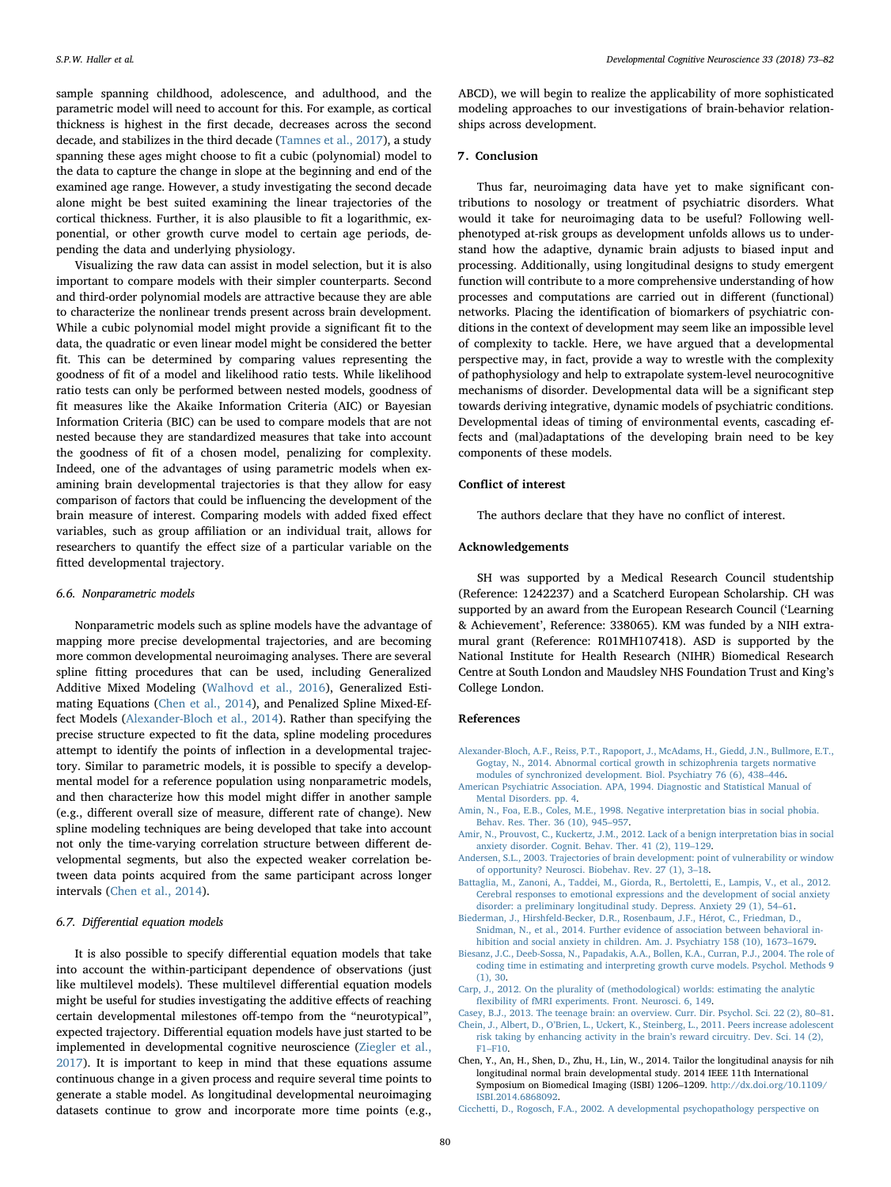sample spanning childhood, adolescence, and adulthood, and the parametric model will need to account for this. For example, as cortical thickness is highest in the first decade, decreases across the second decade, and stabilizes in the third decade [\(Tamnes et al., 2017](#page-9-22)), a study spanning these ages might choose to fit a cubic (polynomial) model to the data to capture the change in slope at the beginning and end of the examined age range. However, a study investigating the second decade alone might be best suited examining the linear trajectories of the cortical thickness. Further, it is also plausible to fit a logarithmic, exponential, or other growth curve model to certain age periods, depending the data and underlying physiology.

Visualizing the raw data can assist in model selection, but it is also important to compare models with their simpler counterparts. Second and third-order polynomial models are attractive because they are able to characterize the nonlinear trends present across brain development. While a cubic polynomial model might provide a significant fit to the data, the quadratic or even linear model might be considered the better fit. This can be determined by comparing values representing the goodness of fit of a model and likelihood ratio tests. While likelihood ratio tests can only be performed between nested models, goodness of fit measures like the Akaike Information Criteria (AIC) or Bayesian Information Criteria (BIC) can be used to compare models that are not nested because they are standardized measures that take into account the goodness of fit of a chosen model, penalizing for complexity. Indeed, one of the advantages of using parametric models when examining brain developmental trajectories is that they allow for easy comparison of factors that could be influencing the development of the brain measure of interest. Comparing models with added fixed effect variables, such as group affiliation or an individual trait, allows for researchers to quantify the effect size of a particular variable on the fitted developmental trajectory.

## 6.6. Nonparametric models

Nonparametric models such as spline models have the advantage of mapping more precise developmental trajectories, and are becoming more common developmental neuroimaging analyses. There are several spline fitting procedures that can be used, including Generalized Additive Mixed Modeling [\(Walhovd et al., 2016\)](#page-9-21), Generalized Estimating Equations [\(Chen et al., 2014](#page-7-11)), and Penalized Spline Mixed-Effect Models [\(Alexander-Bloch et al., 2014](#page-7-12)). Rather than specifying the precise structure expected to fit the data, spline modeling procedures attempt to identify the points of inflection in a developmental trajectory. Similar to parametric models, it is possible to specify a developmental model for a reference population using nonparametric models, and then characterize how this model might differ in another sample (e.g., different overall size of measure, different rate of change). New spline modeling techniques are being developed that take into account not only the time-varying correlation structure between different developmental segments, but also the expected weaker correlation between data points acquired from the same participant across longer intervals ([Chen et al., 2014](#page-7-11)).

# 6.7. Differential equation models

It is also possible to specify differential equation models that take into account the within-participant dependence of observations (just like multilevel models). These multilevel differential equation models might be useful for studies investigating the additive effects of reaching certain developmental milestones off-tempo from the "neurotypical", expected trajectory. Differential equation models have just started to be implemented in developmental cognitive neuroscience [\(Ziegler et al.,](#page-9-23) [2017\)](#page-9-23). It is important to keep in mind that these equations assume continuous change in a given process and require several time points to generate a stable model. As longitudinal developmental neuroimaging datasets continue to grow and incorporate more time points (e.g.,

ABCD), we will begin to realize the applicability of more sophisticated modeling approaches to our investigations of brain-behavior relationships across development.

#### 7. Conclusion

Thus far, neuroimaging data have yet to make significant contributions to nosology or treatment of psychiatric disorders. What would it take for neuroimaging data to be useful? Following wellphenotyped at-risk groups as development unfolds allows us to understand how the adaptive, dynamic brain adjusts to biased input and processing. Additionally, using longitudinal designs to study emergent function will contribute to a more comprehensive understanding of how processes and computations are carried out in different (functional) networks. Placing the identification of biomarkers of psychiatric conditions in the context of development may seem like an impossible level of complexity to tackle. Here, we have argued that a developmental perspective may, in fact, provide a way to wrestle with the complexity of pathophysiology and help to extrapolate system-level neurocognitive mechanisms of disorder. Developmental data will be a significant step towards deriving integrative, dynamic models of psychiatric conditions. Developmental ideas of timing of environmental events, cascading effects and (mal)adaptations of the developing brain need to be key components of these models.

## Conflict of interest

The authors declare that they have no conflict of interest.

# Acknowledgements

SH was supported by a Medical Research Council studentship (Reference: 1242237) and a Scatcherd European Scholarship. CH was supported by an award from the European Research Council ('Learning & Achievement', Reference: 338065). KM was funded by a NIH extramural grant (Reference: R01MH107418). ASD is supported by the National Institute for Health Research (NIHR) Biomedical Research Centre at South London and Maudsley NHS Foundation Trust and King's College London.

## References

- <span id="page-7-12"></span>[Alexander-Bloch, A.F., Reiss, P.T., Rapoport, J., McAdams, H., Giedd, J.N., Bullmore, E.T.,](http://refhub.elsevier.com/S1878-9293(17)30069-5/sbref0005) [Gogtay, N., 2014. Abnormal cortical growth in schizophrenia targets normative](http://refhub.elsevier.com/S1878-9293(17)30069-5/sbref0005) [modules of synchronized development. Biol. Psychiatry 76 \(6\), 438](http://refhub.elsevier.com/S1878-9293(17)30069-5/sbref0005)–446.
- <span id="page-7-3"></span>[American Psychiatric Association. APA, 1994. Diagnostic and Statistical Manual of](http://refhub.elsevier.com/S1878-9293(17)30069-5/sbref0010) [Mental Disorders. pp. 4](http://refhub.elsevier.com/S1878-9293(17)30069-5/sbref0010).
- <span id="page-7-4"></span>[Amin, N., Foa, E.B., Coles, M.E., 1998. Negative interpretation bias in social phobia.](http://refhub.elsevier.com/S1878-9293(17)30069-5/sbref0015) [Behav. Res. Ther. 36 \(10\), 945](http://refhub.elsevier.com/S1878-9293(17)30069-5/sbref0015)–957.
- <span id="page-7-5"></span>[Amir, N., Prouvost, C., Kuckertz, J.M., 2012. Lack of a benign interpretation bias in social](http://refhub.elsevier.com/S1878-9293(17)30069-5/sbref0020) [anxiety disorder. Cognit. Behav. Ther. 41 \(2\), 119](http://refhub.elsevier.com/S1878-9293(17)30069-5/sbref0020)–129.
- <span id="page-7-2"></span>[Andersen, S.L., 2003. Trajectories of brain development: point of vulnerability or window](http://refhub.elsevier.com/S1878-9293(17)30069-5/sbref0025) [of opportunity? Neurosci. Biobehav. Rev. 27 \(1\), 3](http://refhub.elsevier.com/S1878-9293(17)30069-5/sbref0025)–18.
- <span id="page-7-6"></span>[Battaglia, M., Zanoni, A., Taddei, M., Giorda, R., Bertoletti, E., Lampis, V., et al., 2012.](http://refhub.elsevier.com/S1878-9293(17)30069-5/sbref0030) [Cerebral responses to emotional expressions and the development of social anxiety](http://refhub.elsevier.com/S1878-9293(17)30069-5/sbref0030) [disorder: a preliminary longitudinal study. Depress. Anxiety 29 \(1\), 54](http://refhub.elsevier.com/S1878-9293(17)30069-5/sbref0030)–61.
- <span id="page-7-8"></span>[Biederman, J., Hirshfeld-Becker, D.R., Rosenbaum, J.F., Hérot, C., Friedman, D.,](http://refhub.elsevier.com/S1878-9293(17)30069-5/sbref0035) [Snidman, N., et al., 2014. Further evidence of association between behavioral in-](http://refhub.elsevier.com/S1878-9293(17)30069-5/sbref0035)
- <span id="page-7-10"></span>[hibition and social anxiety in children. Am. J. Psychiatry 158 \(10\), 1673](http://refhub.elsevier.com/S1878-9293(17)30069-5/sbref0035)–1679. [Biesanz, J.C., Deeb-Sossa, N., Papadakis, A.A., Bollen, K.A., Curran, P.J., 2004. The role of](http://refhub.elsevier.com/S1878-9293(17)30069-5/sbref0040) [coding time in estimating and interpreting growth curve models. Psychol. Methods 9](http://refhub.elsevier.com/S1878-9293(17)30069-5/sbref0040)
- <span id="page-7-9"></span>[\(1\), 30](http://refhub.elsevier.com/S1878-9293(17)30069-5/sbref0040). [Carp, J., 2012. On the plurality of \(methodological\) worlds: estimating the analytic](http://refhub.elsevier.com/S1878-9293(17)30069-5/sbref0045)
- <span id="page-7-1"></span>fl[exibility of fMRI experiments. Front. Neurosci. 6, 149.](http://refhub.elsevier.com/S1878-9293(17)30069-5/sbref0045) [Casey, B.J., 2013. The teenage brain: an overview. Curr. Dir. Psychol. Sci. 22 \(2\), 80](http://refhub.elsevier.com/S1878-9293(17)30069-5/sbref0050)–81.
- <span id="page-7-7"></span>Chein, J., Albert, D., O'[Brien, L., Uckert, K., Steinberg, L., 2011. Peers increase adolescent](http://refhub.elsevier.com/S1878-9293(17)30069-5/sbref0055) [risk taking by enhancing activity in the brain](http://refhub.elsevier.com/S1878-9293(17)30069-5/sbref0055)'s reward circuitry. Dev. Sci. 14 (2), F1–[F10](http://refhub.elsevier.com/S1878-9293(17)30069-5/sbref0055).
- <span id="page-7-11"></span>Chen, Y., An, H., Shen, D., Zhu, H., Lin, W., 2014. Tailor the longitudinal anaysis for nih longitudinal normal brain developmental study. 2014 IEEE 11th International Symposium on Biomedical Imaging (ISBI) 1206–1209. [http://dx.doi.org/10.1109/](http://dx.doi.org/10.1109/ISBI.2014.6868092) [ISBI.2014.6868092.](http://dx.doi.org/10.1109/ISBI.2014.6868092)
- <span id="page-7-0"></span>[Cicchetti, D., Rogosch, F.A., 2002. A developmental psychopathology perspective on](http://refhub.elsevier.com/S1878-9293(17)30069-5/sbref0065)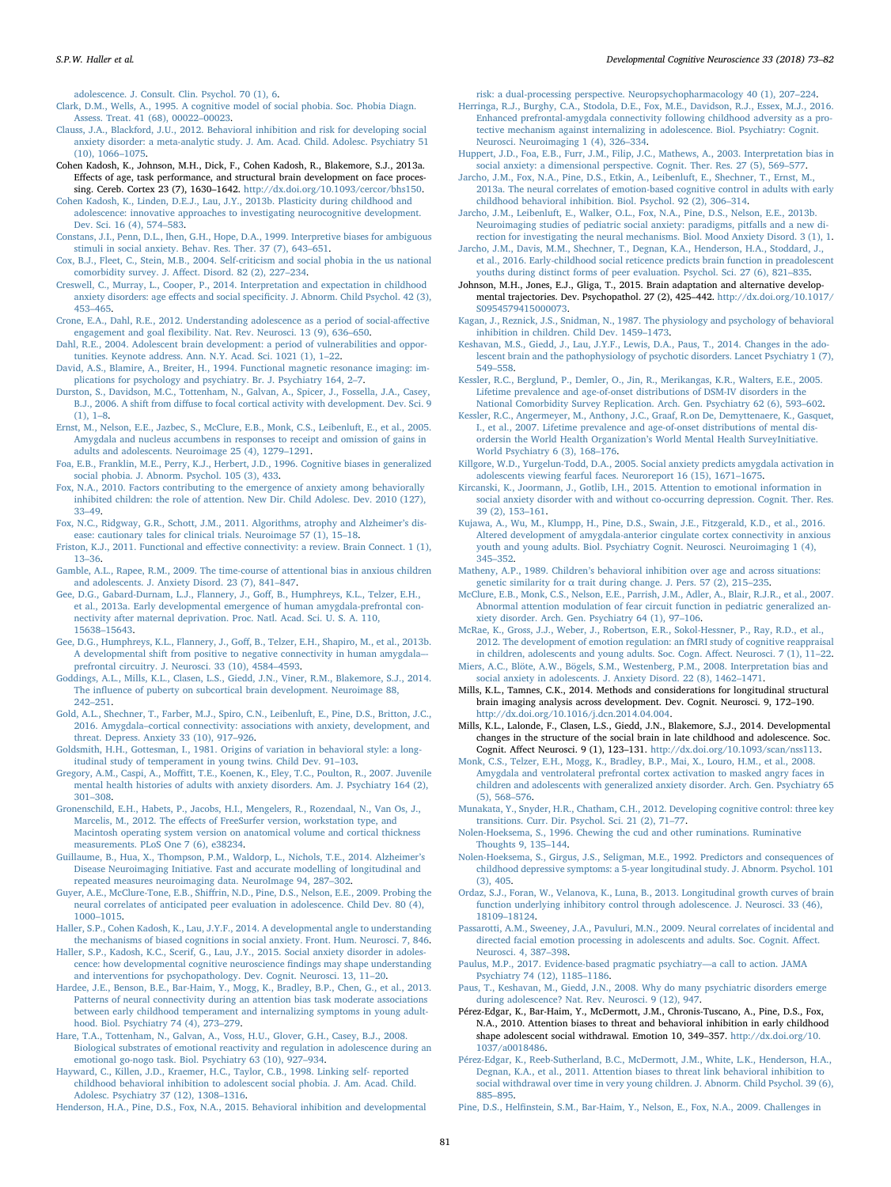[adolescence. J. Consult. Clin. Psychol. 70 \(1\), 6](http://refhub.elsevier.com/S1878-9293(17)30069-5/sbref0065).

<span id="page-8-15"></span>[Clark, D.M., Wells, A., 1995. A cognitive model of social phobia. Soc. Phobia Diagn.](http://refhub.elsevier.com/S1878-9293(17)30069-5/sbref0070) [Assess. Treat. 41 \(68\), 00022](http://refhub.elsevier.com/S1878-9293(17)30069-5/sbref0070)–00023.

- <span id="page-8-47"></span>[Clauss, J.A., Blackford, J.U., 2012. Behavioral inhibition and risk for developing social](http://refhub.elsevier.com/S1878-9293(17)30069-5/sbref0075) [anxiety disorder: a meta-analytic study. J. Am. Acad. Child. Adolesc. Psychiatry 51](http://refhub.elsevier.com/S1878-9293(17)30069-5/sbref0075) [\(10\), 1066](http://refhub.elsevier.com/S1878-9293(17)30069-5/sbref0075)–1075.
- <span id="page-8-5"></span>Cohen Kadosh, K., Johnson, M.H., Dick, F., Cohen Kadosh, R., Blakemore, S.J., 2013a. Effects of age, task performance, and structural brain development on face processing. Cereb. Cortex 23 (7), 1630–1642. <http://dx.doi.org/10.1093/cercor/bhs150>.
- <span id="page-8-6"></span>[Cohen Kadosh, K., Linden, D.E.J., Lau, J.Y., 2013b. Plasticity during childhood and](http://refhub.elsevier.com/S1878-9293(17)30069-5/sbref0085) [adolescence: innovative approaches to investigating neurocognitive development.](http://refhub.elsevier.com/S1878-9293(17)30069-5/sbref0085) [Dev. Sci. 16 \(4\), 574](http://refhub.elsevier.com/S1878-9293(17)30069-5/sbref0085)–583.
- <span id="page-8-18"></span>[Constans, J.I., Penn, D.L., Ihen, G.H., Hope, D.A., 1999. Interpretive biases for ambiguous](http://refhub.elsevier.com/S1878-9293(17)30069-5/sbref0090) [stimuli in social anxiety. Behav. Res. Ther. 37 \(7\), 643](http://refhub.elsevier.com/S1878-9293(17)30069-5/sbref0090)–651.
- <span id="page-8-17"></span>[Cox, B.J., Fleet, C., Stein, M.B., 2004. Self-criticism and social phobia in the us national](http://refhub.elsevier.com/S1878-9293(17)30069-5/sbref0095) [comorbidity survey. J. A](http://refhub.elsevier.com/S1878-9293(17)30069-5/sbref0095)ffect. Disord. 82 (2), 227–234.
- <span id="page-8-20"></span>[Creswell, C., Murray, L., Cooper, P., 2014. Interpretation and expectation in childhood](http://refhub.elsevier.com/S1878-9293(17)30069-5/sbref0100) anxiety disorders: age effects and social specifi[city. J. Abnorm. Child Psychol. 42 \(3\),](http://refhub.elsevier.com/S1878-9293(17)30069-5/sbref0100) 453–[465](http://refhub.elsevier.com/S1878-9293(17)30069-5/sbref0100).
- <span id="page-8-36"></span>[Crone, E.A., Dahl, R.E., 2012. Understanding adolescence as a period of social-a](http://refhub.elsevier.com/S1878-9293(17)30069-5/sbref0105)ffective engagement and goal fl[exibility. Nat. Rev. Neurosci. 13 \(9\), 636](http://refhub.elsevier.com/S1878-9293(17)30069-5/sbref0105)–650.
- <span id="page-8-7"></span>[Dahl, R.E., 2004. Adolescent brain development: a period of vulnerabilities and oppor](http://refhub.elsevier.com/S1878-9293(17)30069-5/sbref0110)[tunities. Keynote address. Ann. N.Y. Acad. Sci. 1021 \(1\), 1](http://refhub.elsevier.com/S1878-9293(17)30069-5/sbref0110)–22.
- <span id="page-8-0"></span>[David, A.S., Blamire, A., Breiter, H., 1994. Functional magnetic resonance imaging: im](http://refhub.elsevier.com/S1878-9293(17)30069-5/sbref0115)[plications for psychology and psychiatry. Br. J. Psychiatry 164, 2](http://refhub.elsevier.com/S1878-9293(17)30069-5/sbref0115)–7.
- <span id="page-8-2"></span>[Durston, S., Davidson, M.C., Tottenham, N., Galvan, A., Spicer, J., Fossella, J.A., Casey,](http://refhub.elsevier.com/S1878-9293(17)30069-5/sbref0120) B.J., 2006. A shift from diff[use to focal cortical activity with development. Dev. Sci. 9](http://refhub.elsevier.com/S1878-9293(17)30069-5/sbref0120) [\(1\), 1](http://refhub.elsevier.com/S1878-9293(17)30069-5/sbref0120)–8.
- <span id="page-8-30"></span>[Ernst, M., Nelson, E.E., Jazbec, S., McClure, E.B., Monk, C.S., Leibenluft, E., et al., 2005.](http://refhub.elsevier.com/S1878-9293(17)30069-5/sbref0125) [Amygdala and nucleus accumbens in responses to receipt and omission of gains in](http://refhub.elsevier.com/S1878-9293(17)30069-5/sbref0125) [adults and adolescents. Neuroimage 25 \(4\), 1279](http://refhub.elsevier.com/S1878-9293(17)30069-5/sbref0125)–1291.
- <span id="page-8-16"></span>[Foa, E.B., Franklin, M.E., Perry, K.J., Herbert, J.D., 1996. Cognitive biases in generalized](http://refhub.elsevier.com/S1878-9293(17)30069-5/sbref0130) [social phobia. J. Abnorm. Psychol. 105 \(3\), 433](http://refhub.elsevier.com/S1878-9293(17)30069-5/sbref0130).
- <span id="page-8-54"></span>[Fox, N.A., 2010. Factors contributing to the emergence of anxiety among behaviorally](http://refhub.elsevier.com/S1878-9293(17)30069-5/sbref0135) [inhibited children: the role of attention. New Dir. Child Adolesc. Dev. 2010 \(127\),](http://refhub.elsevier.com/S1878-9293(17)30069-5/sbref0135) 33–[49](http://refhub.elsevier.com/S1878-9293(17)30069-5/sbref0135).
- <span id="page-8-60"></span>[Fox, N.C., Ridgway, G.R., Schott, J.M., 2011. Algorithms, atrophy and Alzheimer](http://refhub.elsevier.com/S1878-9293(17)30069-5/sbref0140)'s dis[ease: cautionary tales for clinical trials. Neuroimage 57 \(1\), 15](http://refhub.elsevier.com/S1878-9293(17)30069-5/sbref0140)–18.
- <span id="page-8-37"></span>Friston, K.J., 2011. Functional and eff[ective connectivity: a review. Brain Connect. 1 \(1\),](http://refhub.elsevier.com/S1878-9293(17)30069-5/sbref0145) 13–[36](http://refhub.elsevier.com/S1878-9293(17)30069-5/sbref0145).
- <span id="page-8-49"></span>Gamble, [A.L., Rapee, R.M., 2009. The time-course of attentional bias in anxious children](http://refhub.elsevier.com/S1878-9293(17)30069-5/sbref0150) [and adolescents. J. Anxiety Disord. 23 \(7\), 841](http://refhub.elsevier.com/S1878-9293(17)30069-5/sbref0150)–847.
- <span id="page-8-33"></span>[Gee, D.G., Gabard-Durnam, L.J., Flannery, J., Go](http://refhub.elsevier.com/S1878-9293(17)30069-5/sbref0155)ff, B., Humphreys, K.L., Telzer, E.H., [et al., 2013a. Early developmental emergence of human amygdala-prefrontal con](http://refhub.elsevier.com/S1878-9293(17)30069-5/sbref0155)[nectivity after maternal deprivation. Proc. Natl. Acad. Sci. U. S. A. 110,](http://refhub.elsevier.com/S1878-9293(17)30069-5/sbref0155) 15638–[15643.](http://refhub.elsevier.com/S1878-9293(17)30069-5/sbref0155)
- <span id="page-8-34"></span>[Gee, D.G., Humphreys, K.L., Flannery, J., Go](http://refhub.elsevier.com/S1878-9293(17)30069-5/sbref0160)ff, B., Telzer, E.H., Shapiro, M., et al., 2013b. [A developmental shift from positive to negative connectivity in human amygdala](http://refhub.elsevier.com/S1878-9293(17)30069-5/sbref0160)– [prefrontal circuitry. J. Neurosci. 33 \(10\), 4584](http://refhub.elsevier.com/S1878-9293(17)30069-5/sbref0160)–4593.
- <span id="page-8-29"></span>[Goddings, A.L., Mills, K.L., Clasen, L.S., Giedd, J.N., Viner, R.M., Blakemore, S.J., 2014.](http://refhub.elsevier.com/S1878-9293(17)30069-5/sbref0165) The infl[uence of puberty on subcortical brain development. Neuroimage 88,](http://refhub.elsevier.com/S1878-9293(17)30069-5/sbref0165) 242–[251](http://refhub.elsevier.com/S1878-9293(17)30069-5/sbref0165).
- <span id="page-8-38"></span>[Gold, A.L., Shechner, T., Farber, M.J., Spiro, C.N., Leibenluft, E., Pine, D.S., Britton, J.C.,](http://refhub.elsevier.com/S1878-9293(17)30069-5/sbref0170) 2016. Amygdala–[cortical connectivity: associations with anxiety, development, and](http://refhub.elsevier.com/S1878-9293(17)30069-5/sbref0170) [threat. Depress. Anxiety 33 \(10\), 917](http://refhub.elsevier.com/S1878-9293(17)30069-5/sbref0170)–926.
- <span id="page-8-44"></span>[Goldsmith, H.H., Gottesman, I., 1981. Origins of variation in behavioral style: a long](http://refhub.elsevier.com/S1878-9293(17)30069-5/sbref0175)[itudinal study of temperament in young twins. Child Dev. 91](http://refhub.elsevier.com/S1878-9293(17)30069-5/sbref0175)–103.
- <span id="page-8-14"></span>Gregory, A.M., Caspi, A., Moffi[tt, T.E., Koenen, K., Eley, T.C., Poulton, R., 2007. Juvenile](http://refhub.elsevier.com/S1878-9293(17)30069-5/sbref0180) [mental health histories of adults with anxiety disorders. Am. J. Psychiatry 164 \(2\),](http://refhub.elsevier.com/S1878-9293(17)30069-5/sbref0180) 301–[308](http://refhub.elsevier.com/S1878-9293(17)30069-5/sbref0180).
- <span id="page-8-59"></span>[Gronenschild, E.H., Habets, P., Jacobs, H.I., Mengelers, R., Rozendaal, N., Van Os, J.,](http://refhub.elsevier.com/S1878-9293(17)30069-5/sbref0185) Marcelis, M., 2012. The eff[ects of FreeSurfer version, workstation type, and](http://refhub.elsevier.com/S1878-9293(17)30069-5/sbref0185) [Macintosh operating system version on anatomical volume and cortical thickness](http://refhub.elsevier.com/S1878-9293(17)30069-5/sbref0185) [measurements. PLoS One 7 \(6\), e38234](http://refhub.elsevier.com/S1878-9293(17)30069-5/sbref0185).
- <span id="page-8-61"></span>[Guillaume, B., Hua, X., Thompson, P.M., Waldorp, L., Nichols, T.E., 2014. Alzheimer](http://refhub.elsevier.com/S1878-9293(17)30069-5/sbref0190)'s [Disease Neuroimaging Initiative. Fast and accurate modelling of longitudinal and](http://refhub.elsevier.com/S1878-9293(17)30069-5/sbref0190) [repeated measures neuroimaging data. NeuroImage 94, 287](http://refhub.elsevier.com/S1878-9293(17)30069-5/sbref0190)–302.
- <span id="page-8-27"></span>Guyer, A.E., McClure-Tone, E.B., Shiff[rin, N.D., Pine, D.S., Nelson, E.E., 2009. Probing the](http://refhub.elsevier.com/S1878-9293(17)30069-5/sbref0195) [neural correlates of anticipated peer evaluation in adolescence. Child Dev. 80 \(4\),](http://refhub.elsevier.com/S1878-9293(17)30069-5/sbref0195) [1000](http://refhub.elsevier.com/S1878-9293(17)30069-5/sbref0195)–1015.
- <span id="page-8-8"></span>[Haller, S.P., Cohen Kadosh, K., Lau, J.Y.F., 2014. A developmental angle to understanding](http://refhub.elsevier.com/S1878-9293(17)30069-5/sbref0200) [the mechanisms of biased cognitions in social anxiety. Front. Hum. Neurosci. 7, 846.](http://refhub.elsevier.com/S1878-9293(17)30069-5/sbref0200)
- <span id="page-8-9"></span>[Haller, S.P., Kadosh, K.C., Scerif, G., Lau, J.Y., 2015. Social anxiety disorder in adoles](http://refhub.elsevier.com/S1878-9293(17)30069-5/sbref0205)[cence: how developmental cognitive neuroscience](http://refhub.elsevier.com/S1878-9293(17)30069-5/sbref0205) findings may shape understanding [and interventions for psychopathology. Dev. Cognit. Neurosci. 13, 11](http://refhub.elsevier.com/S1878-9293(17)30069-5/sbref0205)–20.
- <span id="page-8-39"></span>[Hardee, J.E., Benson, B.E., Bar-Haim, Y., Mogg, K., Bradley, B.P., Chen, G., et al., 2013.](http://refhub.elsevier.com/S1878-9293(17)30069-5/sbref0210) [Patterns of neural connectivity during an attention bias task moderate associations](http://refhub.elsevier.com/S1878-9293(17)30069-5/sbref0210) [between early childhood temperament and internalizing symptoms in young adult](http://refhub.elsevier.com/S1878-9293(17)30069-5/sbref0210)[hood. Biol. Psychiatry 74 \(4\), 273](http://refhub.elsevier.com/S1878-9293(17)30069-5/sbref0210)–279.
- <span id="page-8-32"></span>[Hare, T.A., Tottenham, N., Galvan, A., Voss, H.U., Glover, G.H., Casey, B.J., 2008.](http://refhub.elsevier.com/S1878-9293(17)30069-5/sbref0215) [Biological substrates of emotional reactivity and regulation in adolescence during an](http://refhub.elsevier.com/S1878-9293(17)30069-5/sbref0215) [emotional go-nogo task. Biol. Psychiatry 63 \(10\), 927](http://refhub.elsevier.com/S1878-9293(17)30069-5/sbref0215)–934.
- <span id="page-8-48"></span>Hayward, [C., Killen, J.D., Kraemer, H.C., Taylor, C.B., 1998. Linking self- reported](http://refhub.elsevier.com/S1878-9293(17)30069-5/sbref0220) [childhood behavioral inhibition to adolescent social phobia. J. Am. Acad. Child.](http://refhub.elsevier.com/S1878-9293(17)30069-5/sbref0220) [Adolesc. Psychiatry 37 \(12\), 1308](http://refhub.elsevier.com/S1878-9293(17)30069-5/sbref0220)–1316.

<span id="page-8-55"></span>[Henderson, H.A., Pine, D.S., Fox, N.A., 2015. Behavioral inhibition and developmental](http://refhub.elsevier.com/S1878-9293(17)30069-5/sbref0225)

[risk: a dual-processing perspective. Neuropsychopharmacology 40 \(1\), 207](http://refhub.elsevier.com/S1878-9293(17)30069-5/sbref0225)–224.

- <span id="page-8-43"></span>[Herringa, R.J., Burghy, C.A., Stodola, D.E., Fox, M.E., Davidson, R.J., Essex, M.J., 2016.](http://refhub.elsevier.com/S1878-9293(17)30069-5/sbref0230) [Enhanced prefrontal-amygdala connectivity following childhood adversity as a pro](http://refhub.elsevier.com/S1878-9293(17)30069-5/sbref0230)[tective mechanism against internalizing in adolescence. Biol. Psychiatry: Cognit.](http://refhub.elsevier.com/S1878-9293(17)30069-5/sbref0230) [Neurosci. Neuroimaging 1 \(4\), 326](http://refhub.elsevier.com/S1878-9293(17)30069-5/sbref0230)–334.
- <span id="page-8-19"></span>[Huppert, J.D., Foa, E.B., Furr, J.M., Filip, J.C., Mathews, A., 2003. Interpretation bias in](http://refhub.elsevier.com/S1878-9293(17)30069-5/sbref0235) [social anxiety: a dimensional perspective. Cognit. Ther. Res. 27 \(5\), 569](http://refhub.elsevier.com/S1878-9293(17)30069-5/sbref0235)–577.
- <span id="page-8-57"></span>[Jarcho, J.M., Fox, N.A., Pine, D.S., Etkin, A., Leibenluft, E., Shechner, T., Ernst, M.,](http://refhub.elsevier.com/S1878-9293(17)30069-5/sbref0240) [2013a. The neural correlates of emotion-based cognitive control in adults with early](http://refhub.elsevier.com/S1878-9293(17)30069-5/sbref0240) [childhood behavioral inhibition. Biol. Psychol. 92 \(2\), 306](http://refhub.elsevier.com/S1878-9293(17)30069-5/sbref0240)–314.
- <span id="page-8-26"></span>[Jarcho, J.M., Leibenluft, E., Walker, O.L., Fox, N.A., Pine, D.S., Nelson, E.E., 2013b.](http://refhub.elsevier.com/S1878-9293(17)30069-5/sbref0245) [Neuroimaging studies of pediatric social anxiety: paradigms, pitfalls and a new di](http://refhub.elsevier.com/S1878-9293(17)30069-5/sbref0245)[rection for investigating the neural mechanisms. Biol. Mood Anxiety Disord. 3 \(1\), 1.](http://refhub.elsevier.com/S1878-9293(17)30069-5/sbref0245)
- <span id="page-8-24"></span>[Jarcho, J.M., Davis, M.M., Shechner, T., Degnan, K.A., Henderson, H.A., Stoddard, J.,](http://refhub.elsevier.com/S1878-9293(17)30069-5/sbref0250) [et al., 2016. Early-childhood social reticence predicts brain function in preadolescent](http://refhub.elsevier.com/S1878-9293(17)30069-5/sbref0250) [youths during distinct forms of peer evaluation. Psychol. Sci. 27 \(6\), 821](http://refhub.elsevier.com/S1878-9293(17)30069-5/sbref0250)–835.
- <span id="page-8-4"></span>Johnson, M.H., Jones, E.J., Gliga, T., 2015. Brain adaptation and alternative developmental trajectories. Dev. Psychopathol. 27 (2), 425–442. [http://dx.doi.org/10.1017/](http://dx.doi.org/10.1017/S0954579415000073) [S0954579415000073](http://dx.doi.org/10.1017/S0954579415000073).
- <span id="page-8-46"></span>[Kagan, J., Reznick, J.S., Snidman, N., 1987. The physiology and psychology of behavioral](http://refhub.elsevier.com/S1878-9293(17)30069-5/sbref0260) [inhibition in children. Child Dev. 1459](http://refhub.elsevier.com/S1878-9293(17)30069-5/sbref0260)–1473.
- <span id="page-8-10"></span>[Keshavan, M.S., Giedd, J., Lau, J.Y.F., Lewis, D.A., Paus, T., 2014. Changes in the ado](http://refhub.elsevier.com/S1878-9293(17)30069-5/sbref0265)[lescent brain and the pathophysiology of psychotic disorders. Lancet Psychiatry 1 \(7\),](http://refhub.elsevier.com/S1878-9293(17)30069-5/sbref0265) 549–[558](http://refhub.elsevier.com/S1878-9293(17)30069-5/sbref0265).
- <span id="page-8-12"></span>[Kessler, R.C., Berglund, P., Demler, O., Jin, R., Merikangas, K.R., Walters, E.E., 2005.](http://refhub.elsevier.com/S1878-9293(17)30069-5/sbref0270) [Lifetime prevalence and age-of-onset distributions of DSM-IV disorders in the](http://refhub.elsevier.com/S1878-9293(17)30069-5/sbref0270) [National Comorbidity Survey Replication. Arch. Gen. Psychiatry 62 \(6\), 593](http://refhub.elsevier.com/S1878-9293(17)30069-5/sbref0270)–602.
- <span id="page-8-13"></span>[Kessler, R.C., Angermeyer, M., Anthony, J.C., Graaf, R.on De, Demyttenaere, K., Gasquet,](http://refhub.elsevier.com/S1878-9293(17)30069-5/sbref0275) [I., et al., 2007. Lifetime prevalence and age-of-onset distributions of mental dis](http://refhub.elsevier.com/S1878-9293(17)30069-5/sbref0275)ordersin the World Health Organization'[s World Mental Health SurveyInitiative.](http://refhub.elsevier.com/S1878-9293(17)30069-5/sbref0275) [World Psychiatry 6 \(3\), 168](http://refhub.elsevier.com/S1878-9293(17)30069-5/sbref0275)–176.
- <span id="page-8-25"></span>[Killgore, W.D., Yurgelun-Todd, D.A., 2005. Social anxiety predicts amygdala activation in](http://refhub.elsevier.com/S1878-9293(17)30069-5/sbref0280) [adolescents viewing fearful faces. Neuroreport 16 \(15\), 1671](http://refhub.elsevier.com/S1878-9293(17)30069-5/sbref0280)–1675.
- <span id="page-8-50"></span>[Kircanski, K., Joormann, J., Gotlib, I.H., 2015. Attention to emotional information in](http://refhub.elsevier.com/S1878-9293(17)30069-5/sbref0285) [social anxiety disorder with and without co-occurring depression. Cognit. Ther. Res.](http://refhub.elsevier.com/S1878-9293(17)30069-5/sbref0285) [39 \(2\), 153](http://refhub.elsevier.com/S1878-9293(17)30069-5/sbref0285)–161.
- <span id="page-8-42"></span>[Kujawa, A., Wu, M., Klumpp, H., Pine, D.S., Swain, J.E., Fitzgerald, K.D., et al., 2016.](http://refhub.elsevier.com/S1878-9293(17)30069-5/sbref0290) [Altered development of amygdala-anterior cingulate cortex connectivity in anxious](http://refhub.elsevier.com/S1878-9293(17)30069-5/sbref0290) [youth and young adults. Biol. Psychiatry Cognit. Neurosci. Neuroimaging 1 \(4\),](http://refhub.elsevier.com/S1878-9293(17)30069-5/sbref0290) 345–[352](http://refhub.elsevier.com/S1878-9293(17)30069-5/sbref0290).
- <span id="page-8-45"></span>Matheny, A.P., 1989. Children'[s behavioral inhibition over age and across situations:](http://refhub.elsevier.com/S1878-9293(17)30069-5/sbref0295) genetic similarity for α [trait during change. J. Pers. 57 \(2\), 215](http://refhub.elsevier.com/S1878-9293(17)30069-5/sbref0295)–235.
- <span id="page-8-40"></span>[McClure, E.B., Monk, C.S., Nelson, E.E., Parrish, J.M., Adler, A., Blair, R.J.R., et al., 2007.](http://refhub.elsevier.com/S1878-9293(17)30069-5/sbref0300) [Abnormal attention modulation of fear circuit function in pediatric generalized an](http://refhub.elsevier.com/S1878-9293(17)30069-5/sbref0300)xiety [disorder. Arch. Gen. Psychiatry 64 \(1\), 97](http://refhub.elsevier.com/S1878-9293(17)30069-5/sbref0300)–106.
- <span id="page-8-35"></span>[McRae, K., Gross, J.J., Weber, J., Robertson, E.R., Sokol-Hessner, P., Ray, R.D., et al.,](http://refhub.elsevier.com/S1878-9293(17)30069-5/sbref0305) [2012. The development of emotion regulation: an fMRI study of cognitive reappraisal](http://refhub.elsevier.com/S1878-9293(17)30069-5/sbref0305) [in children, adolescents and young adults. Soc. Cogn. A](http://refhub.elsevier.com/S1878-9293(17)30069-5/sbref0305)ffect. Neurosci. 7 (1), 11–22. [Miers, A.C., Blöte, A.W., Bögels, S.M., Westenberg, P.M., 2008. Interpretation bias and](http://refhub.elsevier.com/S1878-9293(17)30069-5/sbref0310)
- <span id="page-8-58"></span><span id="page-8-21"></span>[social anxiety in adolescents. J. Anxiety Disord. 22 \(8\), 1462](http://refhub.elsevier.com/S1878-9293(17)30069-5/sbref0310)–1471. Mills, K.L., Tamnes, C.K., 2014. Methods and considerations for longitudinal structural brain imaging analysis across development. Dev. Cognit. Neurosci. 9, 172–190.
- <span id="page-8-28"></span>[http://dx.doi.org/10.1016/j.dcn.2014.04.004.](http://dx.doi.org/10.1016/j.dcn.2014.04.004) Mills, K.L., Lalonde, F., Clasen, L.S., Giedd, J.N., Blakemore, S.J., 2014. Developmental changes in the structure of the social brain in late childhood and adolescence. Soc.
- <span id="page-8-41"></span>Cognit. Affect Neurosci. 9 (1), 123–131. [http://dx.doi.org/10.1093/scan/nss113.](http://dx.doi.org/10.1093/scan/nss113) [Monk, C.S., Telzer, E.H., Mogg, K., Bradley, B.P., Mai, X., Louro, H.M., et al., 2008.](http://refhub.elsevier.com/S1878-9293(17)30069-5/sbref0325) [Amygdala and ventrolateral prefrontal cortex activation to masked angry faces in](http://refhub.elsevier.com/S1878-9293(17)30069-5/sbref0325) [children and adolescents with generalized anxiety disorder. Arch. Gen. Psychiatry 65](http://refhub.elsevier.com/S1878-9293(17)30069-5/sbref0325) [\(5\), 568](http://refhub.elsevier.com/S1878-9293(17)30069-5/sbref0325)–576.
- <span id="page-8-56"></span>[Munakata, Y., Snyder, H.R., Chatham, C.H., 2012. Developing cognitive control: three key](http://refhub.elsevier.com/S1878-9293(17)30069-5/sbref0330) [transitions. Curr. Dir. Psychol. Sci. 21 \(2\), 71](http://refhub.elsevier.com/S1878-9293(17)30069-5/sbref0330)–77.
- <span id="page-8-23"></span>[Nolen-Hoeksema, S., 1996. Chewing the cud and other ruminations. Ruminative](http://refhub.elsevier.com/S1878-9293(17)30069-5/sbref0335) [Thoughts 9, 135](http://refhub.elsevier.com/S1878-9293(17)30069-5/sbref0335)–144.
- <span id="page-8-22"></span>[Nolen-Hoeksema, S., Girgus, J.S., Seligman, M.E., 1992. Predictors and consequences of](http://refhub.elsevier.com/S1878-9293(17)30069-5/sbref0340) [childhood depressive symptoms: a 5-year longitudinal study. J. Abnorm. Psychol. 101](http://refhub.elsevier.com/S1878-9293(17)30069-5/sbref0340) [\(3\), 405.](http://refhub.elsevier.com/S1878-9293(17)30069-5/sbref0340)
- <span id="page-8-3"></span>[Ordaz, S.J., Foran, W., Velanova, K., Luna, B., 2013. Longitudinal growth curves of brain](http://refhub.elsevier.com/S1878-9293(17)30069-5/sbref0345) [function underlying inhibitory control through adolescence. J. Neurosci. 33 \(46\),](http://refhub.elsevier.com/S1878-9293(17)30069-5/sbref0345) 18109–[18124.](http://refhub.elsevier.com/S1878-9293(17)30069-5/sbref0345)
- <span id="page-8-31"></span>[Passarotti, A.M., Sweeney, J.A., Pavuluri, M.N., 2009. Neural correlates of incidental and](http://refhub.elsevier.com/S1878-9293(17)30069-5/sbref0350) [directed facial emotion processing in adolescents and adults. Soc. Cognit. A](http://refhub.elsevier.com/S1878-9293(17)30069-5/sbref0350)ffect. [Neurosci. 4, 387](http://refhub.elsevier.com/S1878-9293(17)30069-5/sbref0350)–398.
- <span id="page-8-1"></span>[Paulus, M.P., 2017. Evidence-based pragmatic psychiatry](http://refhub.elsevier.com/S1878-9293(17)30069-5/sbref0355)—a call to action. JAMA [Psychiatry 74 \(12\), 1185](http://refhub.elsevier.com/S1878-9293(17)30069-5/sbref0355)–1186.
- <span id="page-8-11"></span>[Paus, T., Keshavan, M., Giedd, J.N., 2008. Why do many psychiatric disorders emerge](http://refhub.elsevier.com/S1878-9293(17)30069-5/sbref0360) [during adolescence? Nat. Rev. Neurosci. 9 \(12\), 947.](http://refhub.elsevier.com/S1878-9293(17)30069-5/sbref0360)
- <span id="page-8-51"></span>Pérez-Edgar, K., Bar-Haim, Y., McDermott, J.M., Chronis-Tuscano, A., Pine, D.S., Fox, N.A., 2010. Attention biases to threat and behavioral inhibition in early childhood shape adolescent social withdrawal. Emotion 10, 349–357. [http://dx.doi.org/10.](http://dx.doi.org/10.1037/a0018486) [1037/a0018486](http://dx.doi.org/10.1037/a0018486).
- <span id="page-8-53"></span>[Pérez-Edgar, K., Reeb-Sutherland, B.C., McDermott, J.M., White, L.K., Henderson, H.A.,](http://refhub.elsevier.com/S1878-9293(17)30069-5/sbref0370) [Degnan, K.A., et al., 2011. Attention biases to threat link behavioral inhibition to](http://refhub.elsevier.com/S1878-9293(17)30069-5/sbref0370) [social withdrawal over time in very young children. J. Abnorm. Child Psychol. 39 \(6\),](http://refhub.elsevier.com/S1878-9293(17)30069-5/sbref0370) 885–[895](http://refhub.elsevier.com/S1878-9293(17)30069-5/sbref0370).
- <span id="page-8-52"></span>Pine, D.S., Helfi[nstein, S.M., Bar-Haim, Y., Nelson, E., Fox, N.A., 2009. Challenges in](http://refhub.elsevier.com/S1878-9293(17)30069-5/sbref0375)